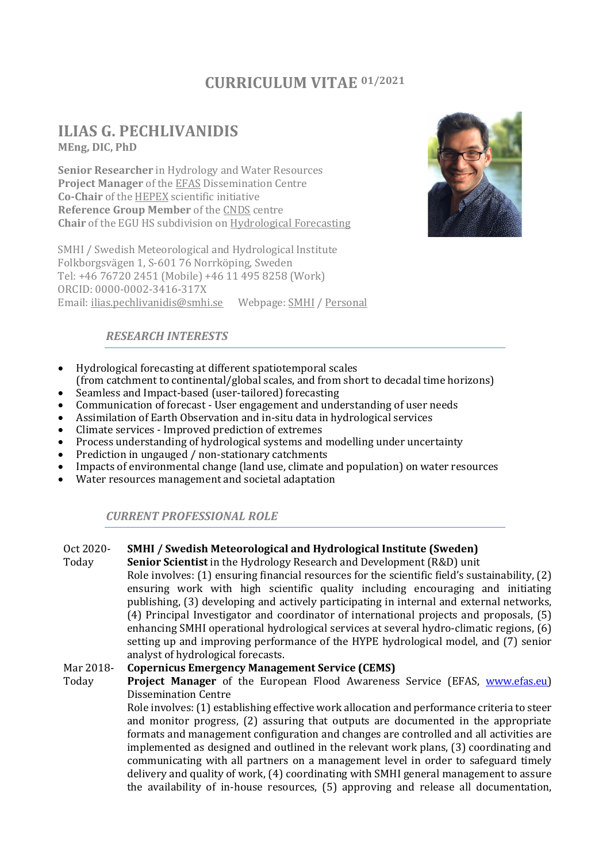# **CURRICULUM VITAE 01/2021**

# **ILIAS G. PECHLIVANIDIS MEng, DIC, PhD**

**Senior Researcher** in Hydrology and Water Resources **Project Manager** of th[e EFAS](https://www.efas.eu/) Dissemination Centre **Co-Chair** of the [HEPEX](https://hepex.irstea.fr/) scientific initiative **Reference Group Member** of the [CNDS](https://www.cnds.se/) centre **Chair** of the EGU HS subdivision on [Hydrological Forecasting](https://www.egu.eu/hs/about/subdivisions/subdivision-hydrological-forecasting/)

SMHI / Swedish Meteorological and Hydrological Institute Folkborgsvägen 1, S-601 76 Norrköping, Sweden Tel: +46 76720 2451 (Mobile) +46 11 495 8258 (Work) ORCID: 0000-0002-3416-317X Email: [ilias.pechlivanidis@smhi.se](mailto:ilias.pechlivanidis@smhi.se) Webpage: [SMHI](https://www.smhi.se/en/research/research-departments/hydrology/ilias-pechlivanidis-1.25167) [/ Personal](https://www.pechlivanidis-hydro.com/)



# *RESEARCH INTERESTS*

- Hydrological forecasting at different spatiotemporal scales
- (from catchment to continental/global scales, and from short to decadal time horizons) • Seamless and Impact-based (user-tailored) forecasting
- Communication of forecast User engagement and understanding of user needs
- Assimilation of Earth Observation and in-situ data in hydrological services
- Climate services Improved prediction of extremes
- Process understanding of hydrological systems and modelling under uncertainty
- Prediction in ungauged / non-stationary catchments
- Impacts of environmental change (land use, climate and population) on water resources
- Water resources management and societal adaptation

## *CURRENT PROFESSIONAL ROLE*

#### Oct 2020- **SMHI / Swedish Meteorological and Hydrological Institute (Sweden)**

Today **Senior Scientist** in the Hydrology Research and Development (R&D) unit Role involves: (1) ensuring financial resources for the scientific field's sustainability, (2) ensuring work with high scientific quality including encouraging and initiating publishing, (3) developing and actively participating in internal and external networks, (4) Principal Investigator and coordinator of international projects and proposals, (5) enhancing SMHI operational hydrological services at several hydro-climatic regions, (6) setting up and improving performance of the HYPE hydrological model, and (7) senior analyst of hydrological forecasts.

#### Mar 2018- **Copernicus Emergency Management Service (CEMS)**

Today **Project Manager** of the European Flood Awareness Service (EFAS, [www.efas.eu\)](http://www.efas.eu/) Dissemination Centre

> Role involves: (1) establishing effective work allocation and performance criteria to steer and monitor progress, (2) assuring that outputs are documented in the appropriate formats and management configuration and changes are controlled and all activities are implemented as designed and outlined in the relevant work plans, (3) coordinating and communicating with all partners on a management level in order to safeguard timely delivery and quality of work, (4) coordinating with SMHI general management to assure the availability of in-house resources, (5) approving and release all documentation,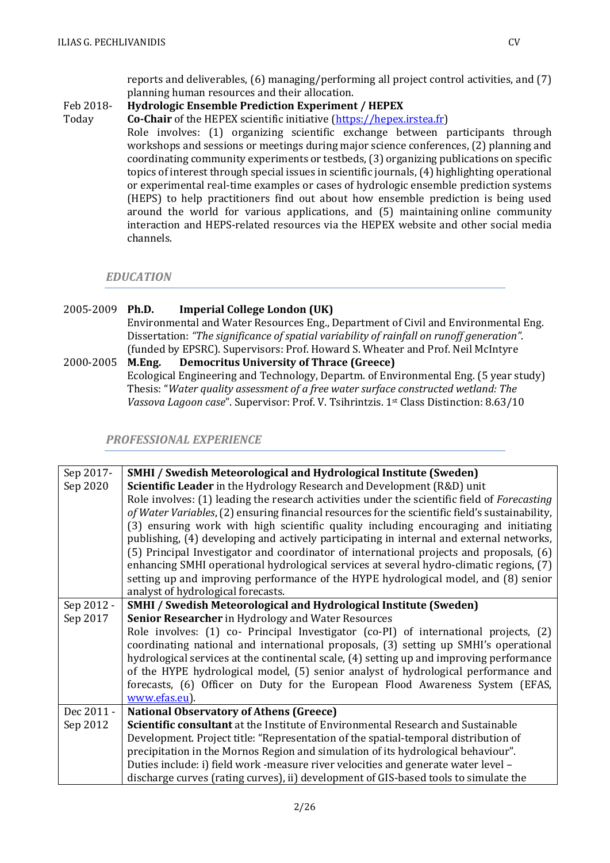reports and deliverables, (6) managing/performing all project control activities, and (7) planning human resources and their allocation.

#### Feb 2018- **Hydrologic Ensemble Prediction Experiment / HEPEX**

Today **Co-Chair** of the HEPEX scientific initiative [\(https://hepex.irstea.fr\)](https://hepex.irstea.fr/) Role involves: (1) organizing scientific exchange between participants through workshops and sessions or meetings during major science conferences, (2) planning and coordinating community experiments or testbeds, (3) organizing publications on specific topics of interest through special issues in scientific journals, (4) highlighting operational or experimental real-time examples or cases of hydrologic ensemble prediction systems (HEPS) to help practitioners find out about how ensemble prediction is being used around the world for various applications, and (5) maintaining online community interaction and HEPS-related resources via the HEPEX website and other social media channels.

### *EDUCATION*

### 2005-2009 **Ph.D. Imperial College London (UK)**

Environmental and Water Resources Eng., Department of Civil and Environmental Eng. Dissertation: *"The significance of spatial variability of rainfall on runoff generation"*. (funded by EPSRC). Supervisors: Prof. Howard S. Wheater and Prof. Neil McIntyre

2000-2005 **M.Eng. Democritus University of Thrace (Greece)** Ecological Engineering and Technology, Departm. of Environmental Eng. (5 year study) Thesis: "*Water quality assessment of a free water surface constructed wetland: The Vassova Lagoon case*". Supervisor: Prof. V. Tsihrintzis. 1st Class Distinction: 8.63/10

*PROFESSIONAL EXPERIENCE*

| Sep 2017-  | <b>SMHI / Swedish Meteorological and Hydrological Institute (Sweden)</b>                            |
|------------|-----------------------------------------------------------------------------------------------------|
| Sep 2020   | Scientific Leader in the Hydrology Research and Development (R&D) unit                              |
|            | Role involves: (1) leading the research activities under the scientific field of <i>Forecasting</i> |
|            | of Water Variables, (2) ensuring financial resources for the scientific field's sustainability,     |
|            | (3) ensuring work with high scientific quality including encouraging and initiating                 |
|            | publishing, (4) developing and actively participating in internal and external networks,            |
|            | (5) Principal Investigator and coordinator of international projects and proposals, (6)             |
|            | enhancing SMHI operational hydrological services at several hydro-climatic regions, (7)             |
|            | setting up and improving performance of the HYPE hydrological model, and (8) senior                 |
|            | analyst of hydrological forecasts.                                                                  |
| Sep 2012 - | <b>SMHI / Swedish Meteorological and Hydrological Institute (Sweden)</b>                            |
| Sep 2017   | <b>Senior Researcher</b> in Hydrology and Water Resources                                           |
|            | Role involves: (1) co- Principal Investigator (co-PI) of international projects, (2)                |
|            | coordinating national and international proposals, (3) setting up SMHI's operational                |
|            | hydrological services at the continental scale, (4) setting up and improving performance            |
|            | of the HYPE hydrological model, (5) senior analyst of hydrological performance and                  |
|            | forecasts, (6) Officer on Duty for the European Flood Awareness System (EFAS,                       |
|            | www.efas.eu).                                                                                       |
| Dec 2011 - | <b>National Observatory of Athens (Greece)</b>                                                      |
| Sep 2012   | Scientific consultant at the Institute of Environmental Research and Sustainable                    |
|            | Development. Project title: "Representation of the spatial-temporal distribution of                 |
|            | precipitation in the Mornos Region and simulation of its hydrological behaviour".                   |
|            | Duties include: i) field work -measure river velocities and generate water level -                  |
|            | discharge curves (rating curves), ii) development of GIS-based tools to simulate the                |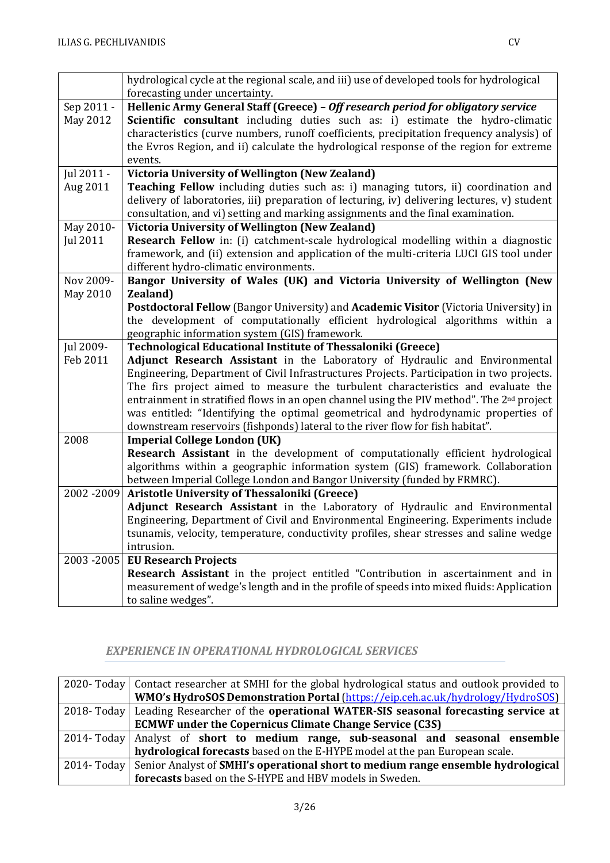$\sim$ 

 $\mathbf{r}$ 

|                 | hydrological cycle at the regional scale, and iii) use of developed tools for hydrological                                                                                           |  |  |
|-----------------|--------------------------------------------------------------------------------------------------------------------------------------------------------------------------------------|--|--|
|                 | forecasting under uncertainty.                                                                                                                                                       |  |  |
| Sep 2011 -      | Hellenic Army General Staff (Greece) - Off research period for obligatory service                                                                                                    |  |  |
| May 2012        | <b>Scientific consultant</b> including duties such as: i) estimate the hydro-climatic                                                                                                |  |  |
|                 | characteristics (curve numbers, runoff coefficients, precipitation frequency analysis) of<br>the Evros Region, and ii) calculate the hydrological response of the region for extreme |  |  |
|                 | events.                                                                                                                                                                              |  |  |
| Jul 2011 -      | Victoria University of Wellington (New Zealand)                                                                                                                                      |  |  |
| Aug 2011        | Teaching Fellow including duties such as: i) managing tutors, ii) coordination and                                                                                                   |  |  |
|                 | delivery of laboratories, iii) preparation of lecturing, iv) delivering lectures, v) student                                                                                         |  |  |
|                 | consultation, and vi) setting and marking assignments and the final examination.                                                                                                     |  |  |
| May 2010-       | <b>Victoria University of Wellington (New Zealand)</b>                                                                                                                               |  |  |
| <b>Jul 2011</b> | Research Fellow in: (i) catchment-scale hydrological modelling within a diagnostic                                                                                                   |  |  |
|                 | framework, and (ii) extension and application of the multi-criteria LUCI GIS tool under                                                                                              |  |  |
|                 | different hydro-climatic environments.                                                                                                                                               |  |  |
| Nov 2009-       | Bangor University of Wales (UK) and Victoria University of Wellington (New                                                                                                           |  |  |
| May 2010        | <b>Zealand</b> )                                                                                                                                                                     |  |  |
|                 | Postdoctoral Fellow (Bangor University) and Academic Visitor (Victoria University) in                                                                                                |  |  |
|                 | the development of computationally efficient hydrological algorithms within a                                                                                                        |  |  |
|                 | geographic information system (GIS) framework.                                                                                                                                       |  |  |
|                 |                                                                                                                                                                                      |  |  |
| Jul 2009-       | <b>Technological Educational Institute of Thessaloniki (Greece)</b>                                                                                                                  |  |  |
| Feb 2011        | Adjunct Research Assistant in the Laboratory of Hydraulic and Environmental                                                                                                          |  |  |
|                 | Engineering, Department of Civil Infrastructures Projects. Participation in two projects.                                                                                            |  |  |
|                 | The firs project aimed to measure the turbulent characteristics and evaluate the                                                                                                     |  |  |
|                 | entrainment in stratified flows in an open channel using the PIV method". The 2 <sup>nd</sup> project                                                                                |  |  |
|                 | was entitled: "Identifying the optimal geometrical and hydrodynamic properties of                                                                                                    |  |  |
|                 | downstream reservoirs (fishponds) lateral to the river flow for fish habitat".                                                                                                       |  |  |
| 2008            | <b>Imperial College London (UK)</b>                                                                                                                                                  |  |  |
|                 | Research Assistant in the development of computationally efficient hydrological<br>algorithms within a geographic information system (GIS) framework. Collaboration                  |  |  |
|                 | between Imperial College London and Bangor University (funded by FRMRC).                                                                                                             |  |  |
| 2002-2009       | <b>Aristotle University of Thessaloniki (Greece)</b>                                                                                                                                 |  |  |
|                 | Adjunct Research Assistant in the Laboratory of Hydraulic and Environmental                                                                                                          |  |  |
|                 | Engineering, Department of Civil and Environmental Engineering. Experiments include                                                                                                  |  |  |
|                 | tsunamis, velocity, temperature, conductivity profiles, shear stresses and saline wedge                                                                                              |  |  |
|                 | intrusion.                                                                                                                                                                           |  |  |
|                 | 2003 - 2005 EU Research Projects                                                                                                                                                     |  |  |
|                 | Research Assistant in the project entitled "Contribution in ascertainment and in                                                                                                     |  |  |
|                 | measurement of wedge's length and in the profile of speeds into mixed fluids: Application<br>to saline wedges".                                                                      |  |  |

## *EXPERIENCE IN OPERATIONAL HYDROLOGICAL SERVICES*

| 2020- Today   Contact researcher at SMHI for the global hydrological status and outlook provided to |
|-----------------------------------------------------------------------------------------------------|
| WMO's HydroSOS Demonstration Portal (https://eip.ceh.ac.uk/hydrology/HydroSOS)                      |
| 2018- Today   Leading Researcher of the operational WATER-SIS seasonal forecasting service at       |
| <b>ECMWF under the Copernicus Climate Change Service (C3S)</b>                                      |
| 2014-Today   Analyst of short to medium range, sub-seasonal and seasonal ensemble                   |
| hydrological forecasts based on the E-HYPE model at the pan European scale.                         |
| 2014- Today   Senior Analyst of SMHI's operational short to medium range ensemble hydrological      |
| forecasts based on the S-HYPE and HBV models in Sweden.                                             |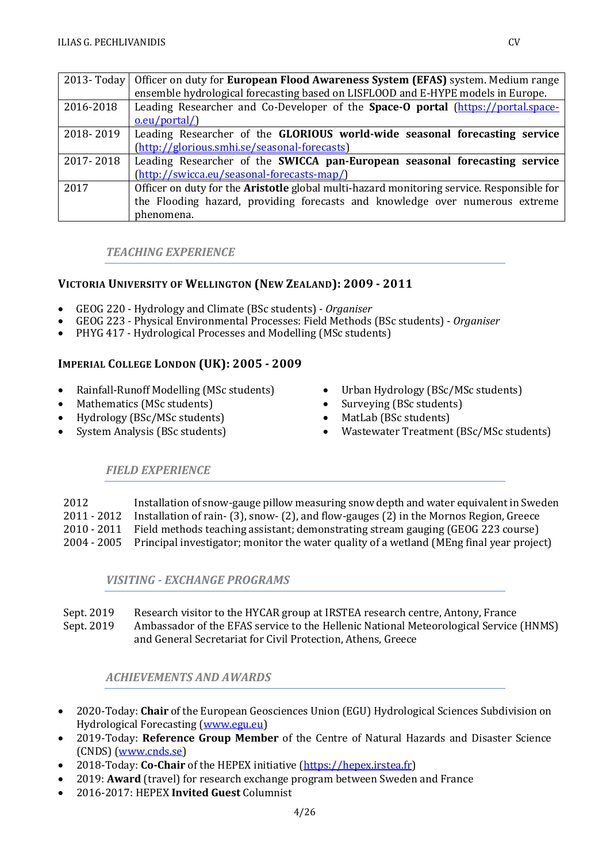|           | 2013- Today   Officer on duty for European Flood Awareness System (EFAS) system. Medium range    |
|-----------|--------------------------------------------------------------------------------------------------|
|           | ensemble hydrological forecasting based on LISFLOOD and E-HYPE models in Europe.                 |
| 2016-2018 | Leading Researcher and Co-Developer of the Space-O portal (https://portal.space-                 |
|           | o.eu/portal/)                                                                                    |
| 2018-2019 | Leading Researcher of the GLORIOUS world-wide seasonal forecasting service                       |
|           | (http://glorious.smhi.se/seasonal-forecasts)                                                     |
| 2017-2018 | Leading Researcher of the SWICCA pan-European seasonal forecasting service                       |
|           | (http://swicca.eu/seasonal-forecasts-map/)                                                       |
| 2017      | Officer on duty for the <b>Aristotle</b> global multi-hazard monitoring service. Responsible for |
|           | the Flooding hazard, providing forecasts and knowledge over numerous extreme                     |
|           | phenomena.                                                                                       |

### *TEACHING EXPERIENCE*

### **VICTORIA UNIVERSITY OF WELLINGTON (NEW ZEALAND): 2009 - 2011**

- GEOG 220 Hydrology and Climate (BSc students) *Organiser*
- GEOG 223 Physical Environmental Processes: Field Methods (BSc students) *Organiser*
- PHYG 417 Hydrological Processes and Modelling (MSc students)

### **IMPERIAL COLLEGE LONDON (UK): 2005 - 2009**

- Rainfall-Runoff Modelling (MSc students)
- Mathematics (MSc students)
- Hydrology (BSc/MSc students)
- System Analysis (BSc students)
- Urban Hydrology (BSc/MSc students)
- Surveying (BSc students)
- MatLab (BSc students)
- Wastewater Treatment (BSc/MSc students)

## *FIELD EXPERIENCE*

| 2012          | Installation of snow-gauge pillow measuring snow depth and water equivalent in Sweden                |
|---------------|------------------------------------------------------------------------------------------------------|
| 2011 - 2012   | Installation of rain- (3), snow- (2), and flow-gauges (2) in the Mornos Region, Greece               |
| $2010 - 2011$ | Field methods teaching assistant; demonstrating stream gauging (GEOG 223 course)                     |
|               | 2004 - 2005 Principal investigator; monitor the water quality of a wetland (MEng final year project) |

### *VISITING - EXCHANGE PROGRAMS*

| Sept. 2019 | Research visitor to the HYCAR group at IRSTEA research centre, Antony, France         |
|------------|---------------------------------------------------------------------------------------|
| Sept. 2019 | Ambassador of the EFAS service to the Hellenic National Meteorological Service (HNMS) |
|            | and General Secretariat for Civil Protection, Athens, Greece                          |

### *ACHIEVEMENTS AND AWARDS*

- 2020-Today: **Chair** of the European Geosciences Union (EGU) Hydrological Sciences Subdivision on Hydrological Forecasting [\(www.egu.eu\)](http://www.egu.eu/)
- 2019-Today: **Reference Group Member** of the Centre of Natural Hazards and Disaster Science (CNDS) [\(www.cnds.se\)](http://www.cnds.se/)
- 2018-Today: **Co-Chair** of the HEPEX initiative [\(https://hepex.irstea.fr\)](https://hepex.irstea.fr/)
- 2019: **Award** (travel) for research exchange program between Sweden and France
- 2016-2017: HEPEX **Invited Guest** Columnist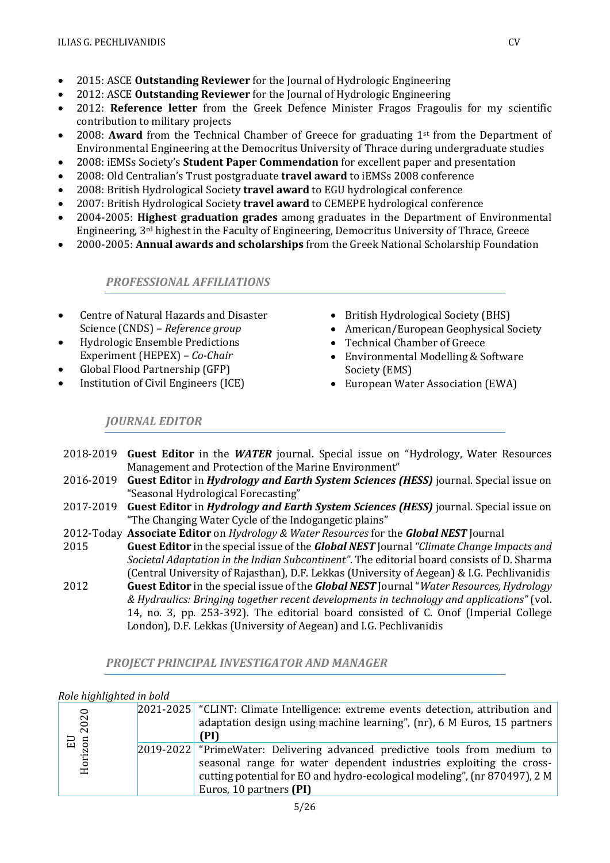- 2015: ASCE **Outstanding Reviewer** for the Journal of Hydrologic Engineering
- 2012: ASCE **Outstanding Reviewer** for the Journal of Hydrologic Engineering
- 2012: **Reference letter** from the Greek Defence Minister Fragos Fragoulis for my scientific contribution to military projects
- 2008: **Award** from the Technical Chamber of Greece for graduating 1<sup>st</sup> from the Department of Environmental Engineering at the Democritus University of Thrace during undergraduate studies
- 2008: iEMSs Society's **Student Paper Commendation** for excellent paper and presentation
- 2008: Old Centralian's Trust postgraduate **travel award** to iEMSs 2008 conference
- 2008: British Hydrological Society **travel award** to EGU hydrological conference
- 2007: British Hydrological Society **travel award** to CEMEPE hydrological conference
- 2004-2005: **Highest graduation grades** among graduates in the Department of Environmental Engineering, 3rd highest in the Faculty of Engineering, Democritus University of Thrace, Greece
- 2000-2005: **Annual awards and scholarships** from the Greek National Scholarship Foundation

*PROFESSIONAL AFFILIATIONS*

- Centre of Natural Hazards and Disaster Science (CNDS) – *Reference group*
- Hydrologic Ensemble Predictions Experiment (HEPEX) – *Co-Chair*
- Global Flood Partnership (GFP)
- Institution of Civil Engineers (ICE)
- British Hydrological Society (BHS)
- American/European Geophysical Society
- Technical Chamber of Greece
- Environmental Modelling & Software Society (EMS)
- European Water Association (EWA)

*JOURNAL EDITOR*

- 2018-2019 **Guest Editor** in the *WATER* journal. Special issue on "Hydrology, Water Resources Management and Protection of the Marine Environment"
- 2016-2019 **Guest Editor** in *Hydrology and Earth System Sciences (HESS)* journal. Special issue on "Seasonal Hydrological Forecasting"
- 2017-2019 **Guest Editor** in *Hydrology and Earth System Sciences (HESS)* journal. Special issue on "The Changing Water Cycle of the Indogangetic plains"
- 2012-Today **Associate Editor** on *Hydrology & Water Resources* for the *[Global NEST](https://gnest-journal.aegean.gr/)* Journal
- 2015 **Guest Editor** in the special issue of the *[Global NEST](https://gnest-journal.aegean.gr/)* Journal *"Climate Change Impacts and Societal Adaptation in the Indian Subcontinent"*. The editorial board consists of D. Sharma (Central University of Rajasthan), D.F. Lekkas (University of Aegean) & I.G. Pechlivanidis
- 2012 **Guest Editor** in the special issue of the *[Global NEST](https://gnest-journal.aegean.gr/)* Journal "*Water Resources, Hydrology & Hydraulics: Bringing together recent developments in technology and applications"* (vol. 14, no. 3, pp. 253-392). The editorial board consisted of C. Onof (Imperial College London), D.F. Lekkas (University of Aegean) and I.G. Pechlivanidis

| <u>Role highlighted in bold</u> |                                                                                                                                                                                                                                                               |
|---------------------------------|---------------------------------------------------------------------------------------------------------------------------------------------------------------------------------------------------------------------------------------------------------------|
| 2020<br>$\Xi$ 5                 | $ 2021-2025 $ "CLINT: Climate Intelligence: extreme events detection, attribution and<br>adaptation design using machine learning", (nr), 6 M Euros, 15 partners<br>(PI)                                                                                      |
| Horiz                           | $ 2019-2022 $ "PrimeWater: Delivering advanced predictive tools from medium to<br>seasonal range for water dependent industries exploiting the cross-<br>cutting potential for EO and hydro-ecological modeling", (nr 870497), 2 M<br>Euros, 10 partners (PI) |

*PROJECT PRINCIPAL INVESTIGATOR AND MANAGER*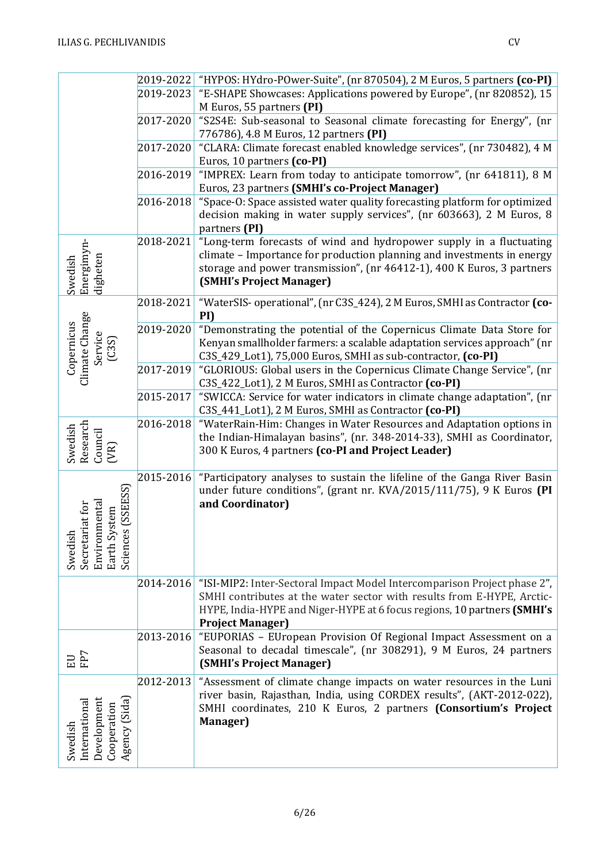|                                                                                                    | 2019-2022 | "HYPOS: HYdro-POwer-Suite", (nr 870504), 2 M Euros, 5 partners (co-PI)                                                                                               |
|----------------------------------------------------------------------------------------------------|-----------|----------------------------------------------------------------------------------------------------------------------------------------------------------------------|
|                                                                                                    | 2019-2023 | "E-SHAPE Showcases: Applications powered by Europe", (nr 820852), 15                                                                                                 |
|                                                                                                    |           | M Euros, 55 partners (PI)                                                                                                                                            |
|                                                                                                    | 2017-2020 | "S2S4E: Sub-seasonal to Seasonal climate forecasting for Energy", (nr                                                                                                |
|                                                                                                    |           | 776786), 4.8 M Euros, 12 partners (PI)                                                                                                                               |
|                                                                                                    | 2017-2020 | "CLARA: Climate forecast enabled knowledge services", (nr 730482), 4 M                                                                                               |
|                                                                                                    |           | Euros, 10 partners (co-PI)                                                                                                                                           |
|                                                                                                    | 2016-2019 | "IMPREX: Learn from today to anticipate tomorrow", (nr 641811), 8 M                                                                                                  |
|                                                                                                    |           | Euros, 23 partners (SMHI's co-Project Manager)                                                                                                                       |
|                                                                                                    | 2016-2018 | "Space-O: Space assisted water quality forecasting platform for optimized<br>decision making in water supply services", (nr 603663), 2 M Euros, 8<br>partners (PI)   |
|                                                                                                    | 2018-2021 | "Long-term forecasts of wind and hydropower supply in a fluctuating                                                                                                  |
|                                                                                                    |           | climate - Importance for production planning and investments in energy                                                                                               |
|                                                                                                    |           | storage and power transmission", (nr 46412-1), 400 K Euros, 3 partners                                                                                               |
| Energimyn-<br>digheten<br>Swedish                                                                  |           | (SMHI's Project Manager)                                                                                                                                             |
|                                                                                                    | 2018-2021 | "WaterSIS- operational", (nr C3S_424), 2 M Euros, SMHI as Contractor (co-                                                                                            |
|                                                                                                    |           | PI)                                                                                                                                                                  |
| Climate Change<br>Copernicus                                                                       | 2019-2020 | "Demonstrating the potential of the Copernicus Climate Data Store for                                                                                                |
|                                                                                                    |           | Kenyan smallholder farmers: a scalable adaptation services approach" (nr                                                                                             |
| Service<br>(C3S)                                                                                   |           | C3S_429_Lot1), 75,000 Euros, SMHI as sub-contractor, (co-PI)                                                                                                         |
|                                                                                                    | 2017-2019 | "GLORIOUS: Global users in the Copernicus Climate Change Service", (nr                                                                                               |
|                                                                                                    |           | C3S_422_Lot1), 2 M Euros, SMHI as Contractor (co-PI)                                                                                                                 |
|                                                                                                    | 2015-2017 | "SWICCA: Service for water indicators in climate change adaptation", (nr                                                                                             |
|                                                                                                    |           | C3S_441_Lot1), 2 M Euros, SMHI as Contractor (co-PI)                                                                                                                 |
|                                                                                                    | 2016-2018 |                                                                                                                                                                      |
|                                                                                                    |           | "WaterRain-Him: Changes in Water Resources and Adaptation options in                                                                                                 |
|                                                                                                    |           | the Indian-Himalayan basins", (nr. 348-2014-33), SMHI as Coordinator,                                                                                                |
| Research<br>Swedish<br>Council<br>(VR)                                                             |           | 300 K Euros, 4 partners (co-PI and Project Leader)                                                                                                                   |
|                                                                                                    |           |                                                                                                                                                                      |
| (SSEESS)<br>mental<br>iat for<br>stem<br>Earth Sys<br>Sciences<br>Swedish<br>Secretari<br>Environn | 2015-2016 | "Participatory analyses to sustain the lifeline of the Ganga River Basin<br>under future conditions", (grant nr. KVA/2015/111/75), 9 K Euros (PI<br>and Coordinator) |
|                                                                                                    | 2014-2016 | "ISI-MIP2: Inter-Sectoral Impact Model Intercomparison Project phase 2",                                                                                             |
|                                                                                                    |           | SMHI contributes at the water sector with results from E-HYPE, Arctic-                                                                                               |
|                                                                                                    |           | HYPE, India-HYPE and Niger-HYPE at 6 focus regions, 10 partners (SMHI's                                                                                              |
|                                                                                                    |           | <b>Project Manager)</b>                                                                                                                                              |
|                                                                                                    | 2013-2016 | "EUPORIAS - EUropean Provision Of Regional Impact Assessment on a                                                                                                    |
|                                                                                                    |           | Seasonal to decadal timescale", (nr 308291), 9 M Euros, 24 partners                                                                                                  |
| EU<br>FP7                                                                                          |           | (SMHI's Project Manager)                                                                                                                                             |
|                                                                                                    | 2012-2013 | "Assessment of climate change impacts on water resources in the Luni                                                                                                 |
|                                                                                                    |           | river basin, Rajasthan, India, using CORDEX results", (AKT-2012-022),                                                                                                |
|                                                                                                    |           | SMHI coordinates, 210 K Euros, 2 partners (Consortium's Project                                                                                                      |
|                                                                                                    |           | Manager)                                                                                                                                                             |
| Agency (Sida)<br>Development<br>International<br>Cooperation<br>Swedish                            |           |                                                                                                                                                                      |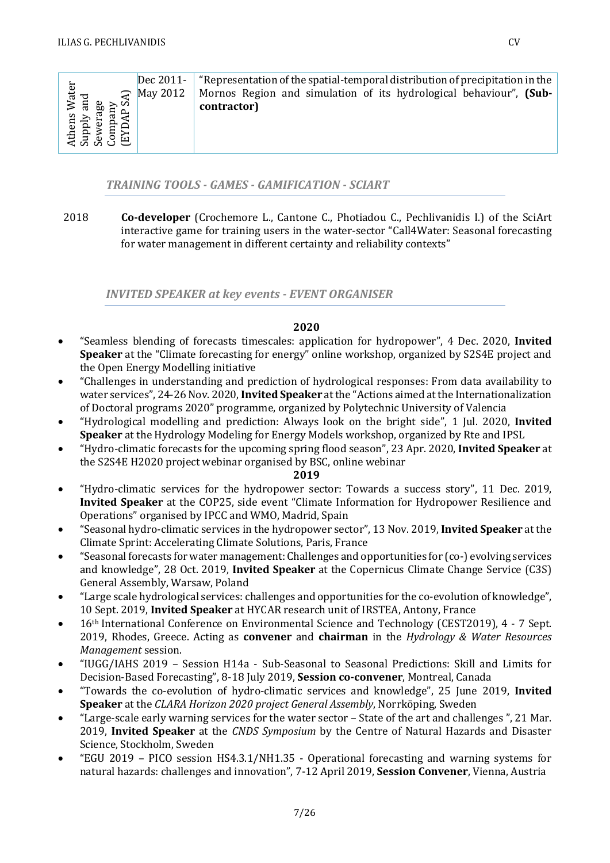|                                                              | Dec 2011-              | "Representation of the spatial-temporal distribution of precipitation in the |
|--------------------------------------------------------------|------------------------|------------------------------------------------------------------------------|
| Athens Water<br>Supply and<br>Sewerage<br>Company<br>Company | $\mathcal{F}$ May 2012 | Mornos Region and simulation of its hydrological behaviour", (Sub-           |
|                                                              |                        | contractor)                                                                  |
|                                                              |                        |                                                                              |
|                                                              |                        |                                                                              |
|                                                              |                        |                                                                              |

### *TRAINING TOOLS - GAMES - GAMIFICATION - SCIART*

2018 **Co-developer** (Crochemore L., Cantone C., Photiadou C., Pechlivanidis I.) of the SciArt interactive game for training users in the water-sector "Call4Water: Seasonal forecasting for water management in different certainty and reliability contexts"

*INVITED SPEAKER at key events - EVENT ORGANISER*

### **2020**

- "Seamless blending of forecasts timescales: application for hydropower", 4 Dec. 2020, **Invited Speaker** at the "Climate forecasting for energy" online workshop, organized by S2S4E project and the Open Energy Modelling initiative
- "Challenges in understanding and prediction of hydrological responses: From data availability to water services", 24-26Nov. 2020, **Invited Speaker** at the "Actions aimed at the Internationalization of Doctoral programs 2020" programme, organized by Polytechnic University of Valencia
- "Hydrological modelling and prediction: Always look on the bright side", 1 Jul. 2020, **Invited Speaker** at the Hydrology Modeling for Energy Models workshop, organized by Rte and IPSL
- "Hydro-climatic forecasts for the upcoming spring flood season", 23 Apr. 2020, **Invited Speaker** at the S2S4E H2020 project webinar organised by BSC, online webinar

- "Hydro-climatic services for the hydropower sector: Towards a success story", 11 Dec. 2019, **Invited Speaker** at the COP25, side event "Climate Information for Hydropower Resilience and Operations" organised by IPCC and WMO, Madrid, Spain
- "Seasonal hydro-climatic services in the hydropower sector", 13 Nov. 2019, **Invited Speaker** at the Climate Sprint: Accelerating Climate Solutions, Paris, France
- "Seasonal forecasts for water management: Challenges and opportunities for (co-) evolving services and knowledge", 28 Oct. 2019, **Invited Speaker** at the Copernicus Climate Change Service (C3S) General Assembly, Warsaw, Poland
- "Large scale hydrological services: challenges and opportunities for the co-evolution of knowledge", 10 Sept. 2019, **Invited Speaker** at HYCAR research unit of IRSTEA, Antony, France
- 16<sup>th</sup> International Conference on Environmental Science and Technology (CEST2019), 4 7 Sept. 2019, Rhodes, Greece. Acting as **convener** and **chairman** in the *Hydrology & Water Resources Management* session.
- "IUGG/IAHS 2019 Session H14a Sub-Seasonal to Seasonal Predictions: Skill and Limits for Decision-Based Forecasting", 8-18 July 2019, **Session co-convener**, Montreal, Canada
- "Towards the co-evolution of hydro-climatic services and knowledge", 25 June 2019, **Invited Speaker** at the *CLARA Horizon 2020 project General Assembly*, Norrköping, Sweden
- "Large-scale early warning services for the water sector State of the art and challenges ", 21 Mar. 2019, **Invited Speaker** at the *CNDS Symposium* by the Centre of Natural Hazards and Disaster Science, Stockholm, Sweden
- "EGU 2019 PICO session HS4.3.1/NH1.35 Operational forecasting and warning systems for natural hazards: challenges and innovation", 7-12 April 2019, **Session Convener**, Vienna, Austria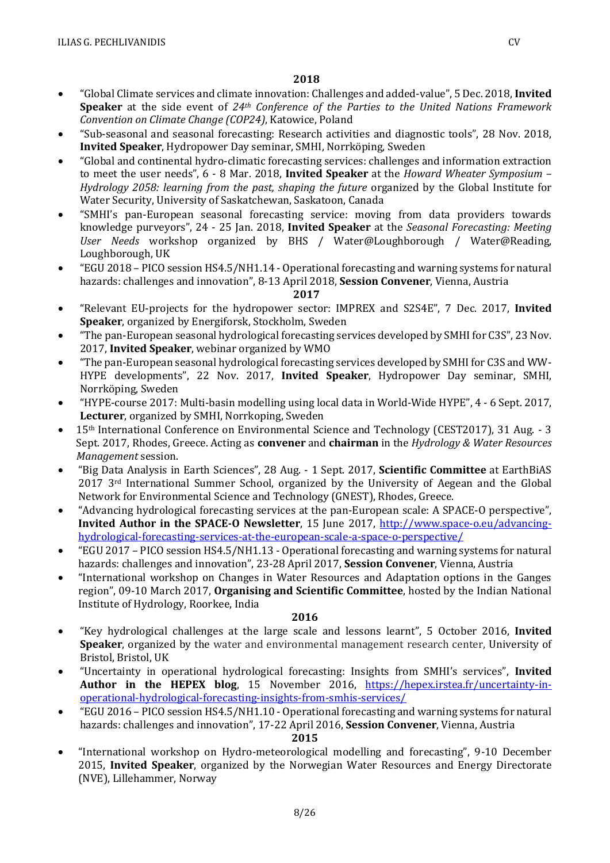- "Global Climate services and climate innovation: Challenges and added-value", 5 Dec. 2018, **Invited Speaker** at the side event of *24th Conference of the Parties to the United Nations Framework Convention on Climate Change (COP24)*, Katowice, Poland
- "Sub-seasonal and seasonal forecasting: Research activities and diagnostic tools", 28 Nov. 2018, **Invited Speaker**, Hydropower Day seminar, SMHI, Norrköping, Sweden
- "Global and continental hydro-climatic forecasting services: challenges and information extraction to meet the user needs", 6 - 8 Mar. 2018, **Invited Speaker** at the *Howard Wheater Symposium – Hydrology 2058: learning from the past, shaping the future* organized by the Global Institute for Water Security, University of Saskatchewan, Saskatoon, Canada
- "SMHI's pan-European seasonal forecasting service: moving from data providers towards knowledge purveyors", 24 - 25 Jan. 2018, **Invited Speaker** at the *Seasonal Forecasting: Meeting User Needs* workshop organized by BHS / Water@Loughborough / Water@Reading, Loughborough, UK
- "EGU 2018 PICO session HS4.5/NH1.14 Operational forecasting and warning systems for natural hazards: challenges and innovation", 8-13 April 2018, **Session Convener**, Vienna, Austria

- "Relevant EU-projects for the hydropower sector: IMPREX and S2S4E", 7 Dec. 2017, **Invited Speaker**, organized by Energiforsk, Stockholm, Sweden
- "The pan-European seasonal hydrological forecasting services developed by SMHI for C3S", 23 Nov. 2017, **Invited Speaker**, webinar organized by WMO
- "The pan-European seasonal hydrological forecasting services developed by SMHI for C3S and WW-HYPE developments", 22 Nov. 2017, **Invited Speaker**, Hydropower Day seminar, SMHI, Norrköping, Sweden
- "HYPE-course 2017: Multi-basin modelling using local data in World-Wide HYPE", 4 6 Sept. 2017, **Lecturer**, organized by SMHI, Norrkoping, Sweden
- 15th International Conference on Environmental Science and Technology (CEST2017), 31 Aug. 3 Sept. 2017, Rhodes, Greece. Acting as **convener** and **chairman** in the *Hydrology & Water Resources Management* session.
- "Big Data Analysis in Earth Sciences", 28 Aug. 1 Sept. 2017, **Scientific Committee** at EarthBiAS 2017 3rd International Summer School, organized by the University of Aegean and the Global Network for Environmental Science and Technology (GNEST), Rhodes, Greece.
- "Advancing hydrological forecasting services at the pan-European scale: A SPACE-O perspective", **Invited Author in the SPACE-O Newsletter**, 15 June 2017, [http://www.space-o.eu/advancing](http://www.space-o.eu/advancing-hydrological-forecasting-services-at-the-european-scale-a-space-o-perspective/)[hydrological-forecasting-services-at-the-european-scale-a-space-o-perspective/](http://www.space-o.eu/advancing-hydrological-forecasting-services-at-the-european-scale-a-space-o-perspective/)
- "EGU 2017 PICO session HS4.5/NH1.13 Operational forecasting and warning systems for natural hazards: challenges and innovation", 23-28 April 2017, **Session Convener**, Vienna, Austria
- "International workshop on Changes in Water Resources and Adaptation options in the Ganges region", 09-10 March 2017, **Organising and Scientific Committee**, hosted by the Indian National Institute of Hydrology, Roorkee, India

### **2016**

- "Key hydrological challenges at the large scale and lessons learnt", 5 October 2016, **Invited Speaker**, organized by the water and environmental management research center, University of Bristol, Bristol, UK
- "Uncertainty in operational hydrological forecasting: Insights from SMHI's services", **Invited**  Author in the HEPEX blog, 15 November 2016, [https://hepex.irstea.fr/uncertainty-in](https://hepex.irstea.fr/uncertainty-in-operational-hydrological-forecasting-insights-from-smhis-services/)[operational-hydrological-forecasting-insights-from-smhis-services/](https://hepex.irstea.fr/uncertainty-in-operational-hydrological-forecasting-insights-from-smhis-services/)
- "EGU 2016 PICO session HS4.5/NH1.10 Operational forecasting and warning systems for natural hazards: challenges and innovation", 17-22 April 2016, **Session Convener**, Vienna, Austria

## **2015**

• "International workshop on Hydro-meteorological modelling and forecasting", 9-10 December 2015, **Invited Speaker**, organized by the Norwegian Water Resources and Energy Directorate (NVE), Lillehammer, Norway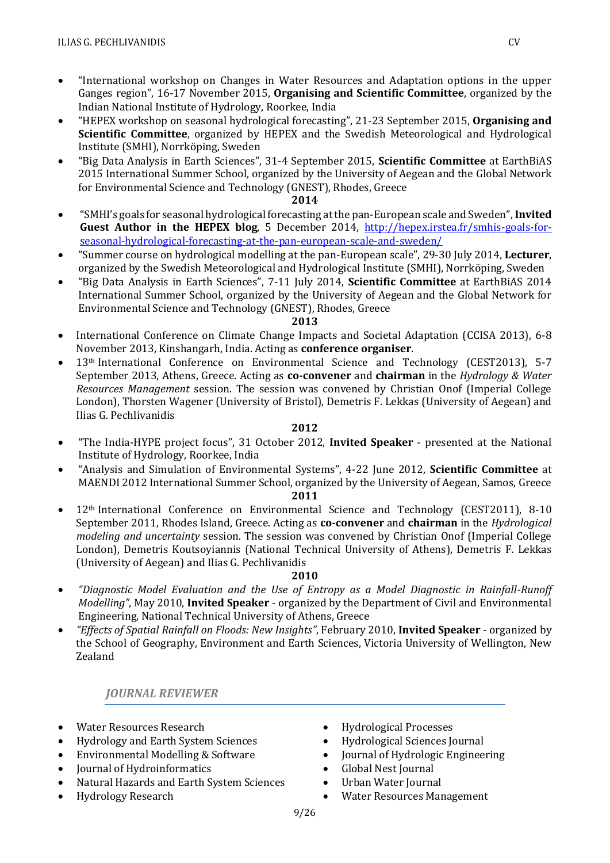- "International workshop on Changes in Water Resources and Adaptation options in the upper Ganges region", 16-17 November 2015, **Organising and Scientific Committee**, organized by the Indian National Institute of Hydrology, Roorkee, India
- "HEPEX workshop on seasonal hydrological forecasting", 21-23 September 2015, **Organising and Scientific Committee**, organized by HEPEX and the Swedish Meteorological and Hydrological Institute (SMHI), Norrköping, Sweden
- "Big Data Analysis in Earth Sciences", 31-4 September 2015, **Scientific Committee** at EarthBiAS 2015 International Summer School, organized by the University of Aegean and the Global Network for Environmental Science and Technology (GNEST), Rhodes, Greece

- "SMHI's goals for seasonal hydrological forecasting at the pan-European scale and Sweden", **Invited Guest Author in the HEPEX blog**, 5 December 2014, [http://hepex.irstea.fr/smhis-goals-for](http://hepex.irstea.fr/smhis-goals-for-seasonal-hydrological-forecasting-at-the-pan-european-scale-and-sweden/)[seasonal-hydrological-forecasting-at-the-pan-european-scale-and-sweden/](http://hepex.irstea.fr/smhis-goals-for-seasonal-hydrological-forecasting-at-the-pan-european-scale-and-sweden/)
- "Summer course on hydrological modelling at the pan-European scale", 29-30 July 2014, **Lecturer**, organized by the Swedish Meteorological and Hydrological Institute (SMHI), Norrköping, Sweden
- "Big Data Analysis in Earth Sciences", 7-11 July 2014, **Scientific Committee** at EarthBiAS 2014 International Summer School, organized by the University of Aegean and the Global Network for Environmental Science and Technology (GNEST), Rhodes, Greece

### **2013**

- International Conference on Climate Change Impacts and Societal Adaptation (CCISA 2013), 6-8 November 2013, Kinshangarh, India. Acting as **conference organiser**.
- 13th International Conference on Environmental Science and Technology (CEST2013), 5-7 September 2013, Athens, Greece. Acting as **co-convener** and **chairman** in the *Hydrology & Water Resources Management* session. The session was convened by Christian Onof (Imperial College London), Thorsten Wagener (University of Bristol), Demetris F. Lekkas (University of Aegean) and Ilias G. Pechlivanidis

### **2012**

- "The India-HYPE project focus", 31 October 2012, **Invited Speaker** presented at the National Institute of Hydrology, Roorkee, India
- "Analysis and Simulation of Environmental Systems", 4-22 June 2012, **Scientific Committee** at MAENDI 2012 International Summer School, organized by the University of Aegean, Samos, Greece

### **2011**

• 12th International Conference on Environmental Science and Technology (CEST2011), 8-10 September 2011, Rhodes Island, Greece. Acting as **co-convener** and **chairman** in the *Hydrological modeling and uncertainty* session. The session was convened by Christian Onof (Imperial College London), Demetris Koutsoyiannis (National Technical University of Athens), Demetris F. Lekkas (University of Aegean) and Ilias G. Pechlivanidis

### **2010**

- *"Diagnostic Model Evaluation and the Use of Entropy as a Model Diagnostic in Rainfall-Runoff Modelling"*, May 2010, **Invited Speaker** - organized by the Department of Civil and Environmental Engineering, National Technical University of Athens, Greece
- *"Effects of Spatial Rainfall on Floods: New Insights"*, February 2010, **Invited Speaker** organized by the School of Geography, Environment and Earth Sciences, Victoria University of Wellington, New Zealand

### *JOURNAL REVIEWER*

- Water Resources Research
- Hydrology and Earth System Sciences
- Environmental Modelling & Software
- Journal of Hydroinformatics
- Natural Hazards and Earth System Sciences
- Hydrology Research
- Hydrological Processes
- Hydrological Sciences Journal
- Journal of Hydrologic Engineering
- Global Nest Journal
- Urban Water Journal
- Water Resources Management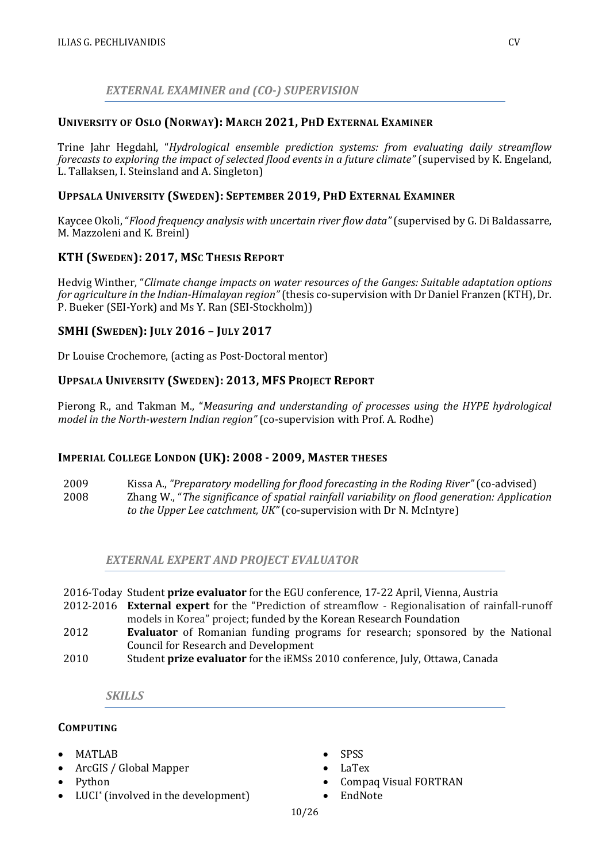### *EXTERNAL EXAMINER and (CO-) SUPERVISION*

### **UNIVERSITY OF OSLO (NORWAY): MARCH 2021, PHD EXTERNAL EXAMINER**

Trine Jahr Hegdahl, "*Hydrological ensemble prediction systems: from evaluating daily streamflow forecasts to exploring the impact of selected flood events in a future climate"* (supervised by K. Engeland, L. Tallaksen, I. Steinsland and A. Singleton)

### **UPPSALA UNIVERSITY (SWEDEN): SEPTEMBER 2019, PHD EXTERNAL EXAMINER**

Kaycee Okoli, "*Flood frequency analysis with uncertain river flow data"* (supervised by G. Di Baldassarre, M. Mazzoleni and K. Breinl)

### **KTH (SWEDEN): 2017, MSC THESIS REPORT**

Hedvig Winther, "*Climate change impacts on water resources of the Ganges: Suitable adaptation options for agriculture in the Indian-Himalayan region"*(thesis co-supervision with Dr Daniel Franzen (KTH), Dr. P. Bueker (SEI-York) and Ms Y. Ran (SEI-Stockholm))

### **SMHI (SWEDEN): JULY 2016 – JULY 2017**

Dr Louise Crochemore, (acting as Post-Doctoral mentor)

### **UPPSALA UNIVERSITY (SWEDEN): 2013, MFS PROJECT REPORT**

Pierong R., and Takman M., "*Measuring and understanding of processes using the HYPE hydrological model in the North-western Indian region"* (co-supervision with Prof. A. Rodhe)

### **IMPERIAL COLLEGE LONDON (UK): 2008 - 2009, MASTER THESES**

2009 Kissa A., *"Preparatory modelling for flood forecasting in the Roding River"* (co-advised) 2008 Zhang W., "*The significance of spatial rainfall variability on flood generation: Application to the Upper Lee catchment, UK"* (co-supervision with Dr N. McIntyre)

*EXTERNAL EXPERT AND PROJECT EVALUATOR*

| 2016-Today Student prize evaluator for the EGU conference, 17-22 April, Vienna, Austria |  |  |  |  |  |  |  |  |
|-----------------------------------------------------------------------------------------|--|--|--|--|--|--|--|--|
|-----------------------------------------------------------------------------------------|--|--|--|--|--|--|--|--|

- 2012-2016 **External expert** for the "Prediction of streamflow Regionalisation of rainfall-runoff models in Korea" project; funded by the Korean Research Foundation
- 2012 **Evaluator** of Romanian funding programs for research; sponsored by the National Council for Research and Development
- 2010 Student **prize evaluator** for the iEMSs 2010 conference, July, Ottawa, Canada

*SKILLS*

### **COMPUTING**

- 
- MATLAB
- ArcGIS / Global Mapper
- Python
- LUCI\* (involved in the development)
- SPSS
- LaTex
- Compaq Visual FORTRAN
- EndNote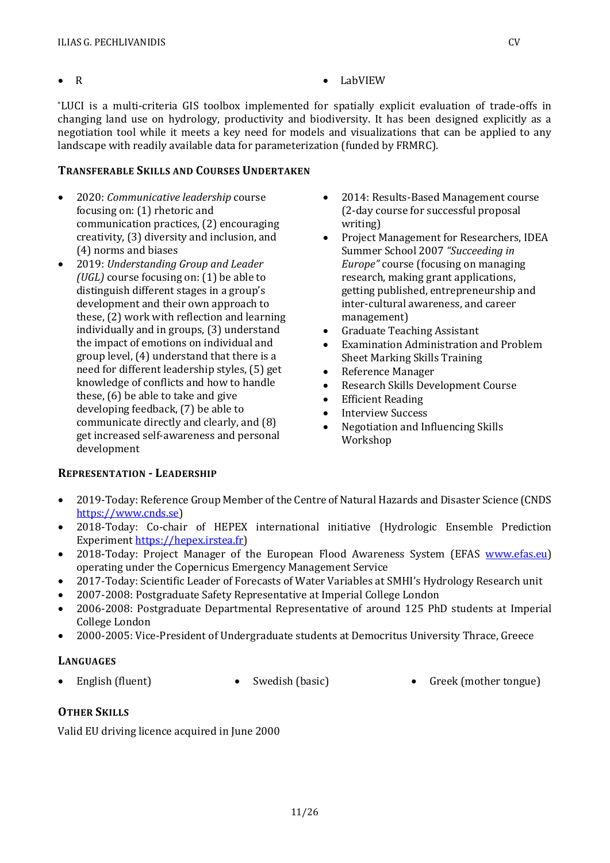- 
- R LabVIEW

\*LUCI is a multi-criteria GIS toolbox implemented for spatially explicit evaluation of trade-offs in changing land use on hydrology, productivity and biodiversity. It has been designed explicitly as a negotiation tool while it meets a key need for models and visualizations that can be applied to any landscape with readily available data for parameterization (funded by FRMRC).

### **TRANSFERABLE SKILLS AND COURSES UNDERTAKEN**

- 2020: *Communicative leadership* course focusing on: (1) rhetoric and communication practices, (2) encouraging creativity, (3) diversity and inclusion, and (4) norms and biases
- 2019: *Understanding Group and Leader (UGL)* course focusing on: (1) be able to distinguish different stages in a group's development and their own approach to these, (2) work with reflection and learning individually and in groups, (3) understand the impact of emotions on individual and group level, (4) understand that there is a need for different leadership styles, (5) get knowledge of conflicts and how to handle these, (6) be able to take and give developing feedback, (7) be able to communicate directly and clearly, and (8) get increased self-awareness and personal development
- 2014: Results-Based Management course (2-day course for successful proposal writing)
- Project Management for Researchers, IDEA Summer School 2007 *"Succeeding in Europe"* course (focusing on managing research, making grant applications, getting published, entrepreneurship and inter-cultural awareness, and career management)
- Graduate Teaching Assistant
- Examination Administration and Problem Sheet Marking Skills Training
- Reference Manager
- Research Skills Development Course
- Efficient Reading
- Interview Success
- Negotiation and Influencing Skills Workshop

### **REPRESENTATION - LEADERSHIP**

- 2019-Today: Reference Group Member of the Centre of Natural Hazards and Disaster Science (CNDS [https://www.cnds.se\)](https://www.cnds.se/)
- 2018-Today: Co-chair of HEPEX international initiative (Hydrologic Ensemble Prediction Experiment [https://hepex.irstea.fr\)](https://hepex.irstea.fr/)
- 2018-Today: Project Manager of the European Flood Awareness System (EFAS [www.efas.eu\)](http://www.efas.eu/) operating under the Copernicus Emergency Management Service
- 2017-Today: Scientific Leader of Forecasts of Water Variables at SMHI's Hydrology Research unit
- 2007-2008: Postgraduate Safety Representative at Imperial College London
- 2006-2008: Postgraduate Departmental Representative of around 125 PhD students at Imperial College London
- 2000-2005: Vice-President of Undergraduate students at Democritus University Thrace, Greece

### **LANGUAGES**

• English (fluent) • Swedish (basic) • Greek (mother tongue)

## **OTHER SKILLS**

Valid EU driving licence acquired in June 2000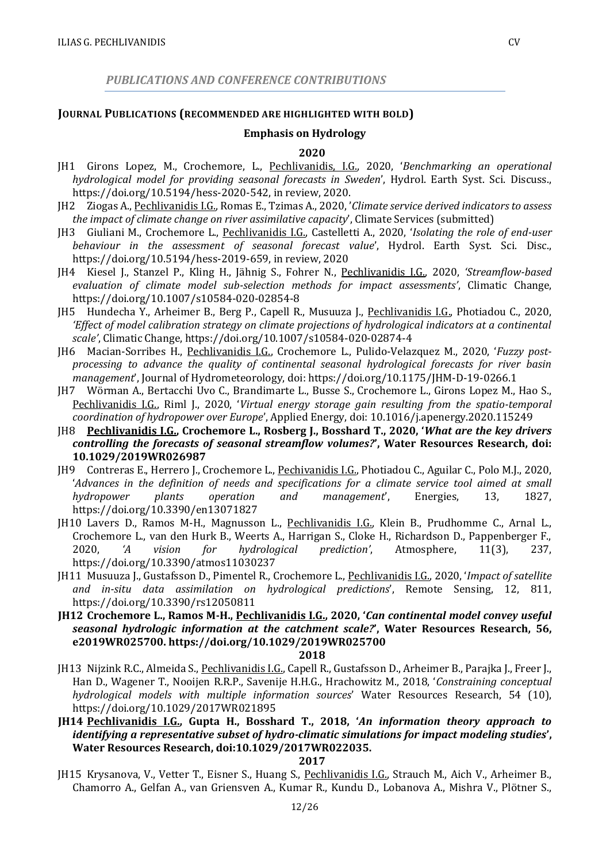*PUBLICATIONS AND CONFERENCE CONTRIBUTIONS*

### **JOURNAL PUBLICATIONS (RECOMMENDED ARE HIGHLIGHTED WITH BOLD)**

### **Emphasis on Hydrology**

#### **2020**

- JH1 Girons Lopez, M., Crochemore, L., Pechlivanidis, I.G., 2020, '*Benchmarking an operational hydrological model for providing seasonal forecasts in Sweden*', Hydrol. Earth Syst. Sci. Discuss., https://doi.org/10.5194/hess-2020-542, in review, 2020.
- JH2 Ziogas A., Pechlivanidis I.G., Romas E., Tzimas A., 2020, '*Climate service derived indicators to assess the impact of climate change on river assimilative capacity*', Climate Services (submitted)
- JH3 Giuliani M., Crochemore L., Pechlivanidis I.G., Castelletti A., 2020, '*Isolating the role of end-user behaviour in the assessment of seasonal forecast value*', Hydrol. Earth Syst. Sci. Disc., https://doi.org/10.5194/hess-2019-659, in review, 2020
- JH4 Kiesel J., Stanzel P., Kling H., Jähnig S., Fohrer N., Pechlivanidis I.G., 2020, *'Streamflow-based evaluation of climate model sub-selection methods for impact assessments'*, Climatic Change, https://doi.org/10.1007/s10584-020-02854-8
- JH5 Hundecha Y., Arheimer B., Berg P., Capell R., Musuuza J., Pechlivanidis I.G., Photiadou C., 2020, *'Effect of model calibration strategy on climate projections of hydrological indicators at a continental scale'*, Climatic Change, https://doi.org/10.1007/s10584-020-02874-4
- JH6 Macian-Sorribes H., Pechlivanidis I.G., Crochemore L., Pulido-Velazquez M., 2020, '*Fuzzy postprocessing to advance the quality of continental seasonal hydrological forecasts for river basin management*', Journal of Hydrometeorology, doi: https://doi.org/10.1175/JHM-D-19-0266.1
- JH7 Wörman A., Bertacchi Uvo C., Brandimarte L., Busse S., Crochemore L., Girons Lopez M., Hao S., Pechlivanidis I.G., Riml J., 2020, '*Virtual energy storage gain resulting from the spatio-temporal coordination of hydropower over Europe*', Applied Energy, doi: 10.1016/j.apenergy.2020.115249
- JH8 **Pechlivanidis I.G., Crochemore L., Rosberg J., Bosshard T., 2020, '***What are the key drivers controlling the forecasts of seasonal streamflow volumes?***', Water Resources Research, doi: 10.1029/2019WR026987**
- JH9 Contreras E., Herrero J., Crochemore L., Pechivanidis I.G., Photiadou C., Aguilar C., Polo M.J., 2020, '*Advances in the definition of needs and specifications for a climate service tool aimed at small hydropower plants operation and management*', Energies, 13, 1827, https://doi.org/10.3390/en13071827
- JH10 Lavers D., Ramos M-H., Magnusson L., Pechlivanidis I.G., Klein B., Prudhomme C., Arnal L., Crochemore L., van den Hurk B., Weerts A., Harrigan S., Cloke H., Richardson D., Pappenberger F., 2020, *'A vision for hydrological prediction'*, Atmosphere, 11(3), 237, https://doi.org/10.3390/atmos11030237
- JH11 Musuuza J., Gustafsson D., Pimentel R., Crochemore L., Pechlivanidis I.G., 2020, '*Impact of satellite and in-situ data assimilation on hydrological predictions*', Remote Sensing, 12, 811, https://doi.org/10.3390/rs12050811
- **JH12 Crochemore L., Ramos M-H., Pechlivanidis I.G., 2020, '***Can continental model convey useful seasonal hydrologic information at the catchment scale?***', Water Resources Research, 56, e2019WR025700. https://doi.org/10.1029/2019WR025700**

#### **2018**

- JH13 Nijzink R.C., Almeida S., Pechlivanidis I.G., Capell R., Gustafsson D., Arheimer B., Parajka J., Freer J., Han D., Wagener T., Nooijen R.R.P., Savenije H.H.G., Hrachowitz M., 2018, '*Constraining conceptual hydrological models with multiple information sources*' Water Resources Research, 54 (10), https://doi.org/10.1029/2017WR021895
- **JH14 Pechlivanidis I.G., Gupta H., Bosshard T., 2018, '***An information theory approach to identifying a representative subset of hydro-climatic simulations for impact modeling studies***', Water Resources Research, doi:10.1029/2017WR022035.**

#### **2017**

JH15 Krysanova, V., Vetter T., Eisner S., Huang S., Pechlivanidis I.G., Strauch M., Aich V., Arheimer B., Chamorro A., Gelfan A., van Griensven A., Kumar R., Kundu D., Lobanova A., Mishra V., Plötner S.,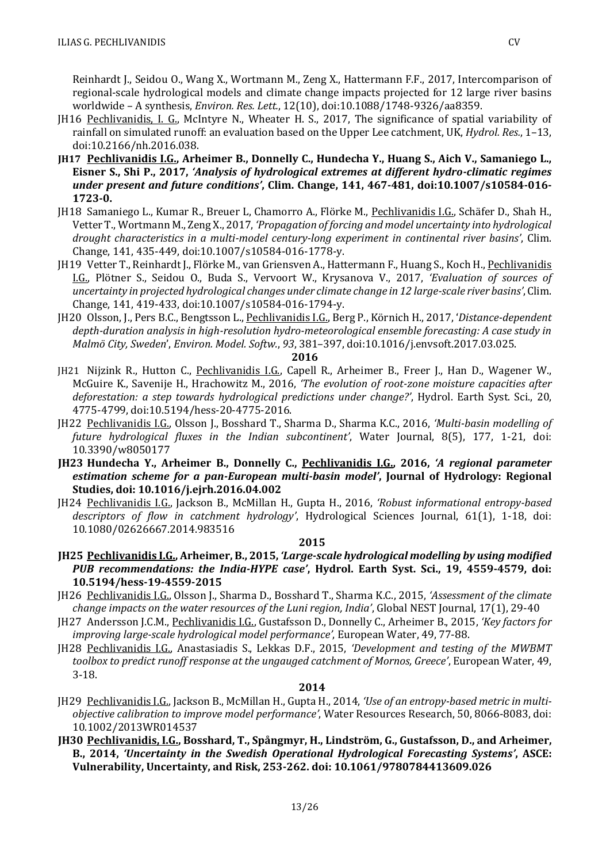Reinhardt J., Seidou O., Wang X., Wortmann M., Zeng X., Hattermann F.F., 2017, Intercomparison of regional-scale hydrological models and climate change impacts projected for 12 large river basins worldwide – A synthesis, *Environ. Res. Lett.*, 12(10), doi:10.1088/1748-9326/aa8359.

- JH16 Pechlivanidis, I. G., McIntyre N., Wheater H. S., 2017, The significance of spatial variability of rainfall on simulated runoff: an evaluation based on the Upper Lee catchment, UK, *Hydrol. Res.*, 1–13, doi:10.2166/nh.2016.038.
- **JH17 Pechlivanidis I.G., Arheimer B., Donnelly C., Hundecha Y., Huang S., Aich V., Samaniego L., Eisner S., Shi P., 2017,** *'Analysis of hydrological extremes at different hydro-climatic regimes under present and future conditions'***, Clim. Change, 141, 467-481, doi:10.1007/s10584-016- 1723-0.**
- JH18 Samaniego L., Kumar R., Breuer L, Chamorro A., Flörke M., Pechlivanidis I.G., Schäfer D., Shah H., Vetter T., Wortmann M., Zeng X., 2017, *'Propagation of forcing and model uncertainty into hydrological drought characteristics in a multi-model century-long experiment in continental river basins'*, Clim. Change, 141, 435-449, doi:10.1007/s10584-016-1778-y.
- JH19 Vetter T., Reinhardt J., Flörke M., van Griensven A., Hattermann F., Huang S., Koch H., Pechlivanidis I.G., Plötner S., Seidou O., Buda S., Vervoort W., Krysanova V., 2017, *'Evaluation of sources of uncertainty in projected hydrological changes under climate change in 12 large-scale river basins'*, Clim. Change, 141, 419-433, doi:10.1007/s10584-016-1794-y.
- JH20 Olsson, J., Pers B.C., Bengtsson L., Pechlivanidis I.G., Berg P., Körnich H., 2017, '*Distance-dependent depth-duration analysis in high-resolution hydro-meteorological ensemble forecasting: A case study in Malmö City, Sweden*', *Environ. Model. Softw.*, *93*, 381–397, doi:10.1016/j.envsoft.2017.03.025.

**2016**

- JH21 Nijzink R., Hutton C., Pechlivanidis I.G., Capell R., Arheimer B., Freer J., Han D., Wagener W., McGuire K., Savenije H., Hrachowitz M., 2016, *'The evolution of root-zone moisture capacities after deforestation: a step towards hydrological predictions under change?'*, Hydrol. Earth Syst. Sci., 20, 4775-4799, doi:10.5194/hess-20-4775-2016.
- JH22 Pechlivanidis I.G., Olsson J., Bosshard T., Sharma D., Sharma K.C., 2016, *'Multi-basin modelling of future hydrological fluxes in the Indian subcontinent'*, Water Journal, 8(5), 177, 1-21, doi: 10.3390/w8050177
- **JH23 Hundecha Y., Arheimer B., Donnelly C., Pechlivanidis I.G., 2016,** *'A regional parameter estimation scheme for a pan-European multi-basin model'***, Journal of Hydrology: Regional Studies, doi: 10.1016/j.ejrh.2016.04.002**
- JH24 Pechlivanidis I.G., Jackson B., McMillan H., Gupta H., 2016, *'Robust informational entropy-based descriptors of flow in catchment hydrology'*, Hydrological Sciences Journal, 61(1), 1-18, doi: 10.1080/02626667.2014.983516

#### **2015**

- **JH25 Pechlivanidis I.G., Arheimer, B., 2015,** *'Large-scale hydrological modelling by using modified PUB recommendations: the India-HYPE case'***, Hydrol. Earth Syst. Sci., 19, 4559-4579, doi: 10.5194/hess-19-4559-2015**
- JH26 Pechlivanidis I.G., Olsson J., Sharma D., Bosshard T., Sharma K.C., 2015, *'Assessment of the climate change impacts on the water resources of the Luni region, India'*, Global NEST Journal, 17(1), 29-40
- JH27 Andersson J.C.M., Pechlivanidis I.G., Gustafsson D., Donnelly C., Arheimer B., 2015, *'Key factors for improving large-scale hydrological model performance'*, European Water, 49, 77-88.
- JH28 Pechlivanidis I.G., Anastasiadis S., Lekkas D.F., 2015, *'Development and testing of the MWBMT toolbox to predict runoff response at the ungauged catchment of Mornos, Greece'*, European Water, 49, 3-18.

- JH29 Pechlivanidis I.G., Jackson B., McMillan H., Gupta H., 2014, *'Use of an entropy-based metric in multiobjective calibration to improve model performance'*, Water Resources Research, 50, 8066-8083, doi: 10.1002/2013WR014537
- **JH30 Pechlivanidis, I.G., Bosshard, T., Spångmyr, H., Lindström, G., Gustafsson, D., and Arheimer, B., 2014,** *'Uncertainty in the Swedish Operational Hydrological Forecasting Systems'***, ASCE: Vulnerability, Uncertainty, and Risk, 253-262. doi: 10.1061/9780784413609.026**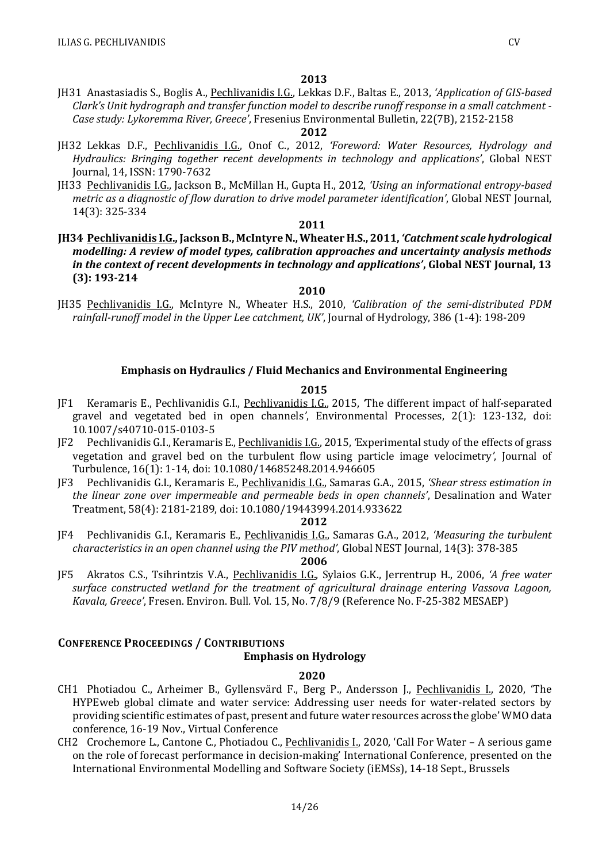JH31 Anastasiadis S., Boglis A., Pechlivanidis I.G., Lekkas D.F., Baltas E., 2013, *'Application of GIS-based Clark's Unit hydrograph and transfer function model to describe runoff response in a small catchment - Case study: Lykoremma River, Greece'*, Fresenius Environmental Bulletin, 22(7B), 2152-2158

### **2012**

- JH32 Lekkas D.F., Pechlivanidis I.G., Onof C., 2012, *'Foreword: Water Resources, Hydrology and Hydraulics: Bringing together recent developments in technology and applications'*, Global NEST Journal, 14, ISSN: 1790-7632
- JH33 Pechlivanidis I.G., Jackson B., McMillan H., Gupta H., 2012, *'Using an informational entropy-based metric as a diagnostic of flow duration to drive model parameter identification'*, Global NEST Journal, 14(3): 325-334

### **2011**

**JH34 Pechlivanidis I.G., Jackson B., McIntyre N., Wheater H.S., 2011,** *'Catchment scale hydrological modelling: A review of model types, calibration approaches and uncertainty analysis methods in the context of recent developments in technology and applications'***, Global NEST Journal, 13 (3): 193-214**

#### **2010**

JH35 Pechlivanidis I.G., McIntyre N., Wheater H.S., 2010, *'Calibration of the semi-distributed PDM rainfall-runoff model in the Upper Lee catchment, UK'*, Journal of Hydrology, 386 (1-4): 198-209

### **Emphasis on Hydraulics / Fluid Mechanics and Environmental Engineering**

#### **2015**

- JF1 Keramaris E., Pechlivanidis G.I., Pechlivanidis I.G., 2015, *'*The different impact of half-separated gravel and vegetated bed in open channels*'*, Environmental Processes, 2(1): 123-132, doi: 10.1007/s40710-015-0103-5
- JF2 Pechlivanidis G.I., Keramaris E., Pechlivanidis I.G., 2015, *'*Experimental study of the effects of grass vegetation and gravel bed on the turbulent flow using particle image velocimetry*'*, Journal of Turbulence, 16(1): 1-14, doi: 10.1080/14685248.2014.946605
- JF3 Pechlivanidis G.I., Keramaris E., Pechlivanidis I.G., Samaras G.A., 2015, *'Shear stress estimation in the linear zone over impermeable and permeable beds in open channels'*, Desalination and Water Treatment, 58(4): 2181-2189, doi: 10.1080/19443994.2014.933622

#### **2012**

JF4 Pechlivanidis G.I., Keramaris E., Pechlivanidis I.G., Samaras G.A., 2012, *'Measuring the turbulent characteristics in an open channel using the PIV method'*, Global NEST Journal, 14(3): 378-385

**2006**

JF5 Akratos C.S., Tsihrintzis V.A., Pechlivanidis I.G., Sylaios G.K., Jerrentrup H., 2006, *'A free water surface constructed wetland for the treatment of agricultural drainage entering Vassova Lagoon, Kavala, Greece'*, Fresen. Environ. Bull*.* Vol. 15, No. 7/8/9 (Reference No. F-25-382 MESAEP)

### **CONFERENCE PROCEEDINGS / CONTRIBUTIONS**

### **Emphasis on Hydrology**

- CH1 Photiadou C., Arheimer B., Gyllensvärd F., Berg P., Andersson J., Pechlivanidis I., 2020, 'The HYPEweb global climate and water service: Addressing user needs for water-related sectors by providing scientific estimates of past, present and future water resources across the globe' WMO data conference, 16-19 Nov., Virtual Conference
- CH2 Crochemore L., Cantone C., Photiadou C., Pechlivanidis L., 2020, 'Call For Water A serious game on the role of forecast performance in decision-making' International Conference, presented on the International Environmental Modelling and Software Society (iEMSs), 14-18 Sept., Brussels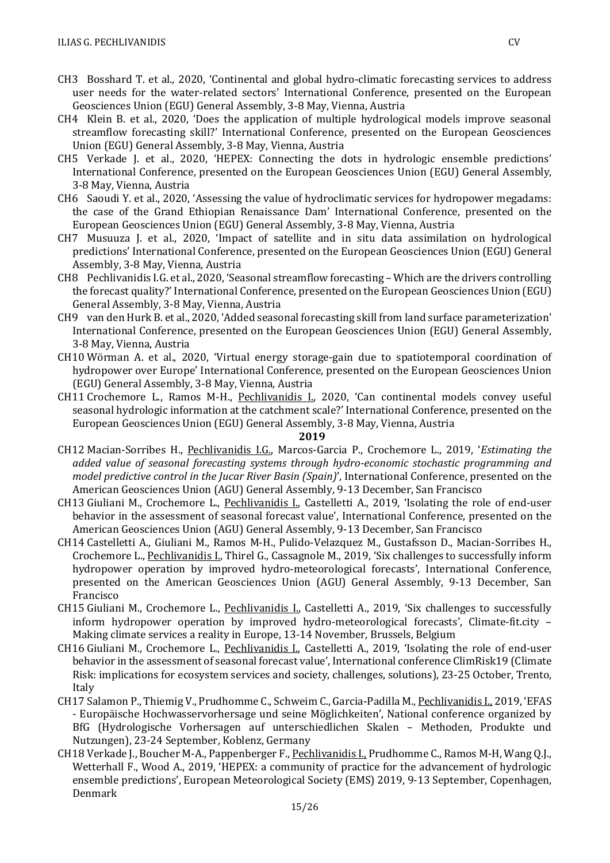- CH3 Bosshard T. et al., 2020, 'Continental and global hydro-climatic forecasting services to address user needs for the water-related sectors' International Conference, presented on the European Geosciences Union (EGU) General Assembly, 3-8 May, Vienna, Austria
- CH4 Klein B. et al., 2020, 'Does the application of multiple hydrological models improve seasonal streamflow forecasting skill?' International Conference, presented on the European Geosciences Union (EGU) General Assembly, 3-8 May, Vienna, Austria
- CH5 Verkade J. et al., 2020, 'HEPEX: Connecting the dots in hydrologic ensemble predictions' International Conference, presented on the European Geosciences Union (EGU) General Assembly, 3-8 May, Vienna, Austria
- CH6 Saoudi Y. et al., 2020, 'Assessing the value of hydroclimatic services for hydropower megadams: the case of the Grand Ethiopian Renaissance Dam' International Conference, presented on the European Geosciences Union (EGU) General Assembly, 3-8 May, Vienna, Austria
- CH7 Musuuza J. et al., 2020, 'Impact of satellite and in situ data assimilation on hydrological predictions' International Conference, presented on the European Geosciences Union (EGU) General Assembly, 3-8 May, Vienna, Austria
- CH8 Pechlivanidis I.G. et al., 2020, 'Seasonal streamflow forecasting Which are the drivers controlling the forecast quality?' International Conference, presented on the European Geosciences Union (EGU) General Assembly, 3-8 May, Vienna, Austria
- CH9 van den Hurk B. et al., 2020, 'Added seasonal forecasting skill from land surface parameterization' International Conference, presented on the European Geosciences Union (EGU) General Assembly, 3-8 May, Vienna, Austria
- CH10 Wörman A. et al., 2020, 'Virtual energy storage-gain due to spatiotemporal coordination of hydropower over Europe' International Conference, presented on the European Geosciences Union (EGU) General Assembly, 3-8 May, Vienna, Austria
- CH11 Crochemore L., Ramos M-H., Pechlivanidis L., 2020, 'Can continental models convey useful seasonal hydrologic information at the catchment scale?' International Conference, presented on the European Geosciences Union (EGU) General Assembly, 3-8 May, Vienna, Austria

- CH12 Macian-Sorribes H., Pechlivanidis I.G., Marcos-Garcia P., Crochemore L., 2019, '*Estimating the added value of seasonal forecasting systems through hydro-economic stochastic programming and model predictive control in the Jucar River Basin (Spain)*', International Conference, presented on the American Geosciences Union (AGU) General Assembly, 9-13 December, San Francisco
- CH13 Giuliani M., Crochemore L., Pechlivanidis I., Castelletti A., 2019, 'Isolating the role of end-user behavior in the assessment of seasonal forecast value', International Conference, presented on the American Geosciences Union (AGU) General Assembly, 9-13 December, San Francisco
- CH14 Castelletti A., Giuliani M., Ramos M-H., Pulido-Velazquez M., Gustafsson D., Macian-Sorribes H., Crochemore L., Pechlivanidis I., Thirel G., Cassagnole M., 2019, 'Six challenges to successfully inform hydropower operation by improved hydro-meteorological forecasts', International Conference, presented on the American Geosciences Union (AGU) General Assembly, 9-13 December, San Francisco
- CH15 Giuliani M., Crochemore L., Pechlivanidis I., Castelletti A., 2019, 'Six challenges to successfully inform hydropower operation by improved hydro-meteorological forecasts', Climate-fit.city – Making climate services a reality in Europe, 13-14 November, Brussels, Belgium
- CH16 Giuliani M., Crochemore L., Pechlivanidis I., Castelletti A., 2019, 'Isolating the role of end-user behavior in the assessment of seasonal forecast value', International conference ClimRisk19 (Climate Risk: implications for ecosystem services and society, challenges, solutions), 23-25 October, Trento, Italy
- CH17 Salamon P., Thiemig V., Prudhomme C., Schweim C., Garcia-Padilla M., Pechlivanidis I., 2019, 'EFAS - Europäische Hochwasservorhersage und seine Möglichkeiten', National conference organized by BfG (Hydrologische Vorhersagen auf unterschiedlichen Skalen – Methoden, Produkte und Nutzungen), 23-24 September, Koblenz, Germany
- CH18 Verkade J., Boucher M-A., Pappenberger F., Pechlivanidis I., Prudhomme C., Ramos M-H, Wang Q.J., Wetterhall F., Wood A., 2019, 'HEPEX: a community of practice for the advancement of hydrologic ensemble predictions', European Meteorological Society (EMS) 2019, 9-13 September, Copenhagen, Denmark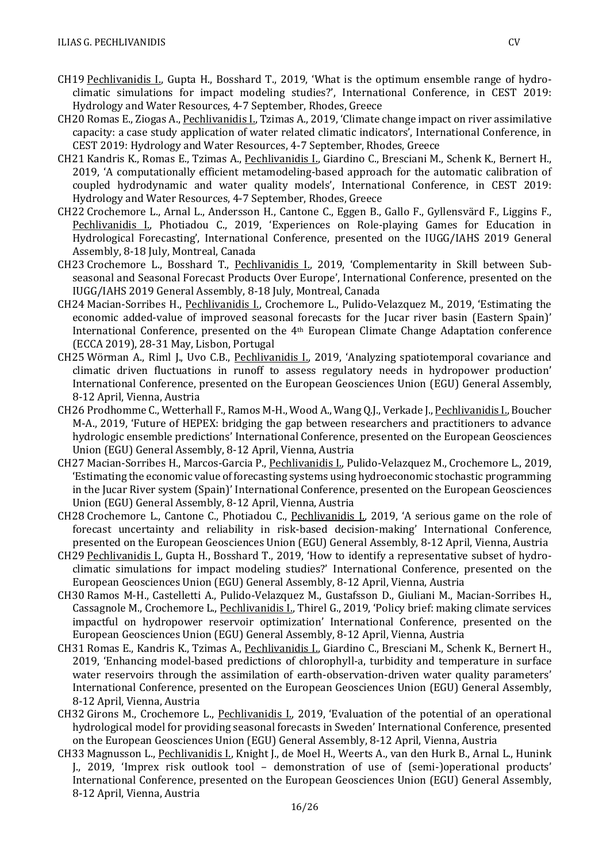- CH19 Pechlivanidis I., Gupta H., Bosshard T., 2019, 'What is the optimum ensemble range of hydroclimatic simulations for impact modeling studies?', International Conference, in CEST 2019: Hydrology and Water Resources, 4-7 September, Rhodes, Greece
- CH20 Romas E., Ziogas A., Pechlivanidis I., Tzimas A., 2019, 'Climate change impact on river assimilative capacity: a case study application of water related climatic indicators', International Conference, in CEST 2019: Hydrology and Water Resources, 4-7 September, Rhodes, Greece
- CH21 Kandris K., Romas E., Tzimas A., Pechlivanidis I., Giardino C., Bresciani M., Schenk K., Bernert H., 2019, 'A computationally efficient metamodeling-based approach for the automatic calibration of coupled hydrodynamic and water quality models', International Conference, in CEST 2019: Hydrology and Water Resources, 4-7 September, Rhodes, Greece
- CH22 Crochemore L., Arnal L., Andersson H., Cantone C., Eggen B., Gallo F., Gyllensvärd F., Liggins F., Pechlivanidis I., Photiadou C., 2019, 'Experiences on Role-playing Games for Education in Hydrological Forecasting', International Conference, presented on the IUGG/IAHS 2019 General Assembly, 8-18 July, Montreal, Canada
- CH23 Crochemore L., Bosshard T., Pechlivanidis I., 2019, 'Complementarity in Skill between Subseasonal and Seasonal Forecast Products Over Europe', International Conference, presented on the IUGG/IAHS 2019 General Assembly, 8-18 July, Montreal, Canada
- CH24 Macian-Sorribes H., Pechlivanidis I., Crochemore L., Pulido-Velazquez M., 2019, 'Estimating the economic added-value of improved seasonal forecasts for the Jucar river basin (Eastern Spain)' International Conference, presented on the 4th European Climate Change Adaptation conference (ECCA 2019), 28-31 May, Lisbon, Portugal
- CH25 Wörman A., Riml J., Uvo C.B., Pechlivanidis I., 2019, 'Analyzing spatiotemporal covariance and climatic driven fluctuations in runoff to assess regulatory needs in hydropower production' International Conference, presented on the European Geosciences Union (EGU) General Assembly, 8-12 April, Vienna, Austria
- CH26 Prodhomme C., Wetterhall F., Ramos M-H., Wood A., Wang Q.J., Verkade J., Pechlivanidis I., Boucher M-A., 2019, 'Future of HEPEX: bridging the gap between researchers and practitioners to advance hydrologic ensemble predictions' International Conference, presented on the European Geosciences Union (EGU) General Assembly, 8-12 April, Vienna, Austria
- CH27 Macian-Sorribes H., Marcos-Garcia P., Pechlivanidis I., Pulido-Velazquez M., Crochemore L., 2019, 'Estimating the economic value of forecasting systems using hydroeconomic stochastic programming in the Jucar River system (Spain)' International Conference, presented on the European Geosciences Union (EGU) General Assembly, 8-12 April, Vienna, Austria
- CH28 Crochemore L., Cantone C., Photiadou C., Pechlivanidis I., 2019, 'A serious game on the role of forecast uncertainty and reliability in risk-based decision-making' International Conference, presented on the European Geosciences Union (EGU) General Assembly, 8-12 April, Vienna, Austria
- CH29 Pechlivanidis I., Gupta H., Bosshard T., 2019, 'How to identify a representative subset of hydroclimatic simulations for impact modeling studies?' International Conference, presented on the European Geosciences Union (EGU) General Assembly, 8-12 April, Vienna, Austria
- CH30 Ramos M-H., Castelletti A., Pulido-Velazquez M., Gustafsson D., Giuliani M., Macian-Sorribes H., Cassagnole M., Crochemore L., Pechlivanidis I., Thirel G., 2019, 'Policy brief: making climate services impactful on hydropower reservoir optimization' International Conference, presented on the European Geosciences Union (EGU) General Assembly, 8-12 April, Vienna, Austria
- CH31 Romas E., Kandris K., Tzimas A., Pechlivanidis I., Giardino C., Bresciani M., Schenk K., Bernert H., 2019, 'Enhancing model-based predictions of chlorophyll-a, turbidity and temperature in surface water reservoirs through the assimilation of earth-observation-driven water quality parameters' International Conference, presented on the European Geosciences Union (EGU) General Assembly, 8-12 April, Vienna, Austria
- CH32 Girons M., Crochemore L., Pechlivanidis I., 2019, 'Evaluation of the potential of an operational hydrological model for providing seasonal forecasts in Sweden' International Conference, presented on the European Geosciences Union (EGU) General Assembly, 8-12 April, Vienna, Austria
- CH33 Magnusson L., Pechlivanidis I., Knight J., de Moel H., Weerts A., van den Hurk B., Arnal L., Hunink J., 2019, 'Imprex risk outlook tool – demonstration of use of (semi-)operational products' International Conference, presented on the European Geosciences Union (EGU) General Assembly, 8-12 April, Vienna, Austria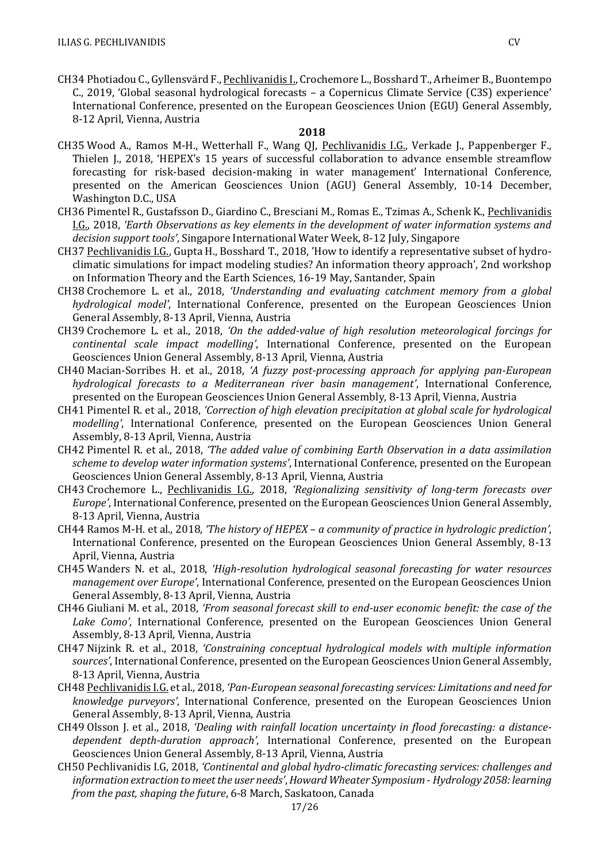CH34 Photiadou C., Gyllensvärd F., Pechlivanidis I., Crochemore L., Bosshard T., Arheimer B., Buontempo C., 2019, 'Global seasonal hydrological forecasts – a Copernicus Climate Service (C3S) experience' International Conference, presented on the European Geosciences Union (EGU) General Assembly, 8-12 April, Vienna, Austria

- CH35 Wood A., Ramos M-H., Wetterhall F., Wang QJ, Pechlivanidis I.G., Verkade J., Pappenberger F., Thielen J., 2018, 'HEPEX's 15 years of successful collaboration to advance ensemble streamflow forecasting for risk-based decision-making in water management' International Conference, presented on the American Geosciences Union (AGU) General Assembly, 10-14 December, Washington D.C., USA
- CH36 Pimentel R., Gustafsson D., Giardino C., Bresciani M., Romas E., Tzimas A., Schenk K., Pechlivanidis I.G., 2018, *'Earth Observations as key elements in the development of water information systems and decision support tools'*, Singapore International Water Week, 8-12 July, Singapore
- CH37 Pechlivanidis I.G., Gupta H., Bosshard T., 2018, 'How to identify a representative subset of hydroclimatic simulations for impact modeling studies? An information theory approach', 2nd workshop on Information Theory and the Earth Sciences, 16-19 May, Santander, Spain
- CH38 Crochemore L. et al., 2018, *'Understanding and evaluating catchment memory from a global hydrological model'*, International Conference, presented on the European Geosciences Union General Assembly, 8-13 April, Vienna, Austria
- CH39 Crochemore L. et al., 2018, *'On the added-value of high resolution meteorological forcings for continental scale impact modelling'*, International Conference, presented on the European Geosciences Union General Assembly, 8-13 April, Vienna, Austria
- CH40 Macian-Sorribes H. et al., 2018, *'A fuzzy post-processing approach for applying pan-European hydrological forecasts to a Mediterranean river basin management'*, International Conference, presented on the European Geosciences Union General Assembly, 8-13 April, Vienna, Austria
- CH41 Pimentel R. et al., 2018, *'Correction of high elevation precipitation at global scale for hydrological modelling'*, International Conference, presented on the European Geosciences Union General Assembly, 8-13 April, Vienna, Austria
- CH42 Pimentel R. et al., 2018, *'The added value of combining Earth Observation in a data assimilation scheme to develop water information systems'*, International Conference, presented on the European Geosciences Union General Assembly, 8-13 April, Vienna, Austria
- CH43 Crochemore L., Pechlivanidis I.G., 2018, *'Regionalizing sensitivity of long-term forecasts over Europe'*, International Conference, presented on the European Geosciences Union General Assembly, 8-13 April, Vienna, Austria
- CH44 Ramos M-H. et al., 2018, *'The history of HEPEX – a community of practice in hydrologic prediction'*, International Conference, presented on the European Geosciences Union General Assembly, 8-13 April, Vienna, Austria
- CH45 Wanders N. et al., 2018, *'High-resolution hydrological seasonal forecasting for water resources management over Europe'*, International Conference, presented on the European Geosciences Union General Assembly, 8-13 April, Vienna, Austria
- CH46 Giuliani M. et al., 2018, *'From seasonal forecast skill to end-user economic benefit: the case of the Lake Como'*, International Conference, presented on the European Geosciences Union General Assembly, 8-13 April, Vienna, Austria
- CH47 Nijzink R. et al., 2018, *'Constraining conceptual hydrological models with multiple information sources'*, International Conference, presented on the European Geosciences Union General Assembly, 8-13 April, Vienna, Austria
- CH48 Pechlivanidis I.G. et al., 2018, *'Pan-European seasonal forecasting services: Limitations and need for knowledge purveyors'*, International Conference, presented on the European Geosciences Union General Assembly, 8-13 April, Vienna, Austria
- CH49 Olsson J. et al., 2018, *'Dealing with rainfall location uncertainty in flood forecasting: a distancedependent depth-duration approach'*, International Conference, presented on the European Geosciences Union General Assembly, 8-13 April, Vienna, Austria
- CH50 Pechlivanidis I.G, 2018, *'Continental and global hydro-climatic forecasting services: challenges and information extraction to meet the user needs'*,*Howard Wheater Symposium* - *Hydrology 2058: learning from the past, shaping the future*, 6-8 March, Saskatoon, Canada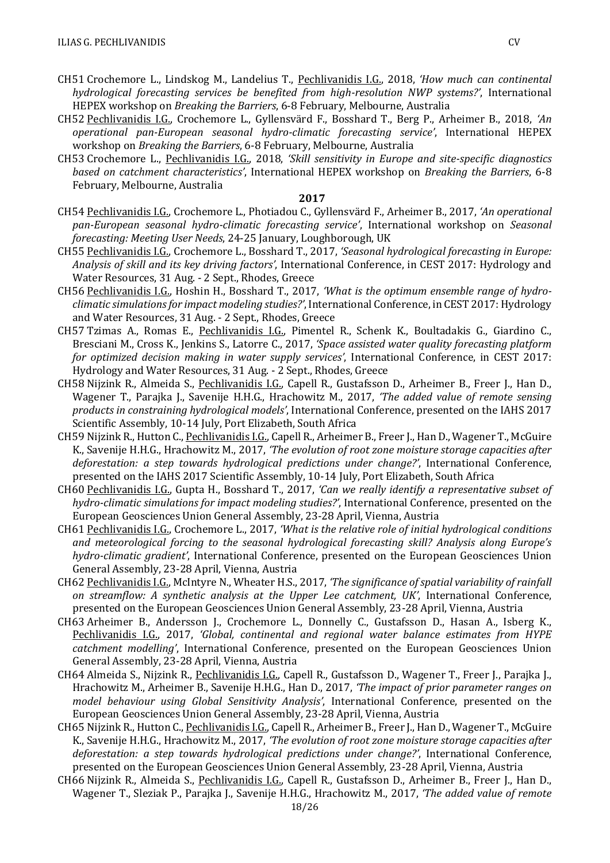- CH51 Crochemore L., Lindskog M., Landelius T., Pechlivanidis I.G., 2018, *'How much can continental hydrological forecasting services be benefited from high-resolution NWP systems?'*, International HEPEX workshop on *Breaking the Barriers*, 6-8 February, Melbourne, Australia
- CH52 Pechlivanidis I.G., Crochemore L., Gyllensvärd F., Bosshard T., Berg P., Arheimer B., 2018, *'An operational pan-European seasonal hydro-climatic forecasting service'*, International HEPEX workshop on *Breaking the Barriers*, 6-8 February, Melbourne, Australia
- CH53 Crochemore L., Pechlivanidis I.G., 2018, *'Skill sensitivity in Europe and site-specific diagnostics based on catchment characteristics'*, International HEPEX workshop on *Breaking the Barriers*, 6-8 February, Melbourne, Australia

- CH54 Pechlivanidis I.G., Crochemore L., Photiadou C., Gyllensvärd F., Arheimer B., 2017, *'An operational pan-European seasonal hydro-climatic forecasting service'*, International workshop on *Seasonal forecasting: Meeting User Needs*, 24-25 January, Loughborough, UK
- CH55 Pechlivanidis I.G., Crochemore L., Bosshard T., 2017, *'Seasonal hydrological forecasting in Europe: Analysis of skill and its key driving factors'*, International Conference, in CEST 2017: Hydrology and Water Resources, 31 Aug. - 2 Sept., Rhodes, Greece
- CH56 Pechlivanidis I.G., Hoshin H., Bosshard T., 2017, *'What is the optimum ensemble range of hydroclimatic simulations for impact modeling studies?'*, International Conference, in CEST 2017: Hydrology and Water Resources, 31 Aug. - 2 Sept., Rhodes, Greece
- CH57 Tzimas A., Romas E., Pechlivanidis I.G., Pimentel R., Schenk K., Boultadakis G., Giardino C., Bresciani M., Cross K., Jenkins S., Latorre C., 2017, *'Space assisted water quality forecasting platform for optimized decision making in water supply services'*, International Conference, in CEST 2017: Hydrology and Water Resources, 31 Aug. - 2 Sept., Rhodes, Greece
- CH58 Nijzink R., Almeida S., Pechlivanidis I.G., Capell R., Gustafsson D., Arheimer B., Freer J., Han D., Wagener T., Parajka J., Savenije H.H.G., Hrachowitz M., 2017, *'The added value of remote sensing products in constraining hydrological models'*, International Conference, presented on the IAHS 2017 Scientific Assembly, 10-14 July, Port Elizabeth, South Africa
- CH59 Nijzink R., Hutton C., Pechlivanidis I.G., Capell R., Arheimer B., Freer J., Han D., Wagener T., McGuire K., Savenije H.H.G., Hrachowitz M., 2017, *'The evolution of root zone moisture storage capacities after deforestation: a step towards hydrological predictions under change?'*, International Conference, presented on the IAHS 2017 Scientific Assembly, 10-14 July, Port Elizabeth, South Africa
- CH60 Pechlivanidis I.G., Gupta H., Bosshard T., 2017, *'Can we really identify a representative subset of hydro-climatic simulations for impact modeling studies?'*, International Conference, presented on the European Geosciences Union General Assembly, 23-28 April, Vienna, Austria
- CH61 Pechlivanidis I.G., Crochemore L., 2017, *'What is the relative role of initial hydrological conditions and meteorological forcing to the seasonal hydrological forecasting skill? Analysis along Europe's hydro-climatic gradient'*, International Conference, presented on the European Geosciences Union General Assembly, 23-28 April, Vienna, Austria
- CH62 Pechlivanidis I.G., McIntyre N., Wheater H.S., 2017, *'The significance of spatial variability of rainfall on streamflow: A synthetic analysis at the Upper Lee catchment, UK'*, International Conference, presented on the European Geosciences Union General Assembly, 23-28 April, Vienna, Austria
- CH63 Arheimer B., Andersson J., Crochemore L., Donnelly C., Gustafsson D., Hasan A., Isberg K., Pechlivanidis I.G., 2017, *'Global, continental and regional water balance estimates from HYPE catchment modelling'*, International Conference, presented on the European Geosciences Union General Assembly, 23-28 April, Vienna, Austria
- CH64 Almeida S., Nijzink R., Pechlivanidis I.G., Capell R., Gustafsson D., Wagener T., Freer J., Parajka J., Hrachowitz M., Arheimer B., Savenije H.H.G., Han D., 2017, *'The impact of prior parameter ranges on model behaviour using Global Sensitivity Analysis'*, International Conference, presented on the European Geosciences Union General Assembly, 23-28 April, Vienna, Austria
- CH65 Nijzink R., Hutton C., Pechlivanidis I.G., Capell R., Arheimer B., Freer J., Han D., Wagener T., McGuire K., Savenije H.H.G., Hrachowitz M., 2017, *'The evolution of root zone moisture storage capacities after deforestation: a step towards hydrological predictions under change?'*, International Conference, presented on the European Geosciences Union General Assembly, 23-28 April, Vienna, Austria
- CH66 Nijzink R., Almeida S., Pechlivanidis I.G., Capell R., Gustafsson D., Arheimer B., Freer J., Han D., Wagener T., Sleziak P., Parajka J., Savenije H.H.G., Hrachowitz M., 2017, *'The added value of remote*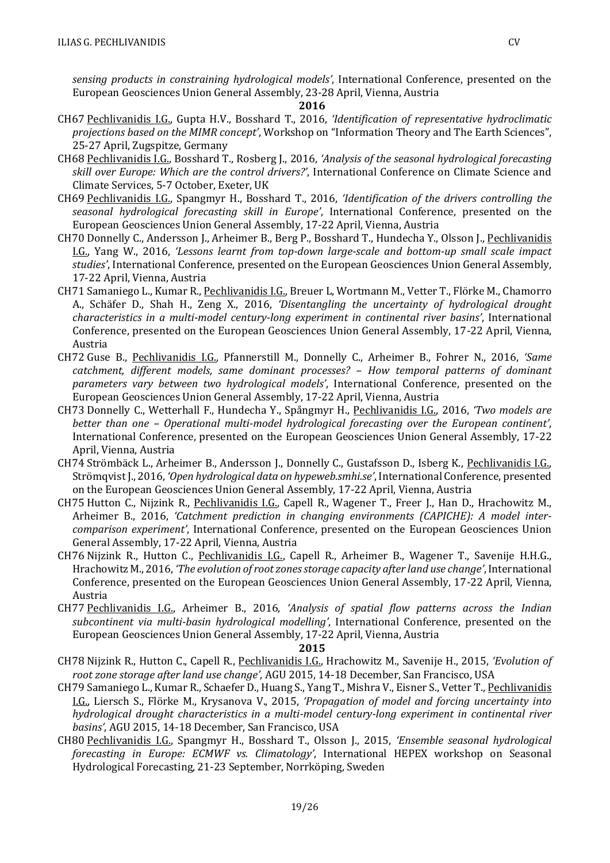*sensing products in constraining hydrological models'*, International Conference, presented on the European Geosciences Union General Assembly, 23-28 April, Vienna, Austria

#### **2016**

- CH67 Pechlivanidis I.G., Gupta H.V., Bosshard T., 2016, *'Identification of representative hydroclimatic projections based on the MIMR concept'*, Workshop on "Information Theory and The Earth Sciences", 25-27 April, Zugspitze, Germany
- CH68 Pechlivanidis I.G., Bosshard T., Rosberg J., 2016, *'Analysis of the seasonal hydrological forecasting skill over Europe: Which are the control drivers?'*, International Conference on Climate Science and Climate Services, 5-7 October, Exeter, UK
- CH69 Pechlivanidis I.G., Spangmyr H., Bosshard T., 2016, *'Identification of the drivers controlling the seasonal hydrological forecasting skill in Europe'*, International Conference, presented on the European Geosciences Union General Assembly, 17-22 April, Vienna, Austria
- CH70 Donnelly C., Andersson J., Arheimer B., Berg P., Bosshard T., Hundecha Y., Olsson J., Pechlivanidis I.G., Yang W., 2016, *'Lessons learnt from top-down large-scale and bottom-up small scale impact studies'*, International Conference, presented on the European Geosciences Union General Assembly, 17-22 April, Vienna, Austria
- CH71 Samaniego L., Kumar R., Pechlivanidis I.G., Breuer L, Wortmann M., Vetter T., Flörke M., Chamorro A., Schäfer D., Shah H., Zeng X., 2016, *'Disentangling the uncertainty of hydrological drought characteristics in a multi-model century-long experiment in continental river basins'*, International Conference, presented on the European Geosciences Union General Assembly, 17-22 April, Vienna, Austria
- CH72 Guse B., Pechlivanidis I.G., Pfannerstill M., Donnelly C., Arheimer B., Fohrer N., 2016, *'Same catchment, different models, same dominant processes? – How temporal patterns of dominant parameters vary between two hydrological models'*, International Conference, presented on the European Geosciences Union General Assembly, 17-22 April, Vienna, Austria
- CH73 Donnelly C., Wetterhall F., Hundecha Y., Spångmyr H., Pechlivanidis I.G., 2016, *'Two models are better than one – Operational multi-model hydrological forecasting over the European continent'*, International Conference, presented on the European Geosciences Union General Assembly, 17-22 April, Vienna, Austria
- CH74 Strömbäck L., Arheimer B., Andersson J., Donnelly C., Gustafsson D., Isberg K., Pechlivanidis I.G., Strömqvist J., 2016, *'Open hydrological data on hypeweb.smhi.se'*, International Conference, presented on the European Geosciences Union General Assembly, 17-22 April, Vienna, Austria
- CH75 Hutton C., Nijzink R., Pechlivanidis I.G., Capell R., Wagener T., Freer J., Han D., Hrachowitz M., Arheimer B., 2016, *'Catchment prediction in changing environments (CAPICHE): A model intercomparison experiment'*, International Conference, presented on the European Geosciences Union General Assembly, 17-22 April, Vienna, Austria
- CH76 Nijzink R., Hutton C., Pechlivanidis I.G., Capell R., Arheimer B., Wagener T., Savenije H.H.G., Hrachowitz M., 2016, *'The evolution of root zones storage capacity after land use change'*, International Conference, presented on the European Geosciences Union General Assembly, 17-22 April, Vienna, Austria
- CH77 Pechlivanidis I.G., Arheimer B., 2016, *'Analysis of spatial flow patterns across the Indian subcontinent via multi-basin hydrological modelling'*, International Conference, presented on the European Geosciences Union General Assembly, 17-22 April, Vienna, Austria

- CH78 Nijzink R., Hutton C., Capell R., Pechlivanidis I.G., Hrachowitz M., Savenije H., 2015, *'Evolution of root zone storage after land use change'*, AGU 2015, 14-18 December, San Francisco, USA
- CH79 Samaniego L., Kumar R., Schaefer D., Huang S., Yang T., Mishra V., Eisner S., Vetter T., Pechlivanidis I.G., Liersch S., Flörke M., Krysanova V., 2015, *'Propagation of model and forcing uncertainty into hydrological drought characteristics in a multi-model century-long experiment in continental river basins'*, AGU 2015, 14-18 December, San Francisco, USA
- CH80 Pechlivanidis I.G., Spangmyr H., Bosshard T., Olsson J., 2015, *'Ensemble seasonal hydrological forecasting in Europe: ECMWF vs. Climatology'*, International HEPEX workshop on Seasonal Hydrological Forecasting, 21-23 September, Norrköping, Sweden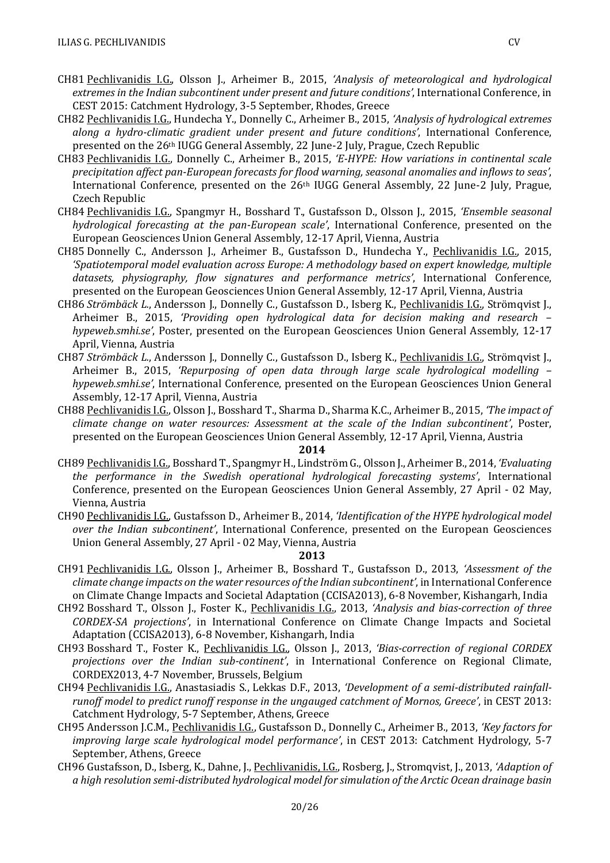- CH81 Pechlivanidis I.G., Olsson J., Arheimer B., 2015, *'Analysis of meteorological and hydrological extremes in the Indian subcontinent under present and future conditions'*, International Conference, in CEST 2015: Catchment Hydrology, 3-5 September, Rhodes, Greece
- CH82 Pechlivanidis I.G., Hundecha Y., Donnelly C., Arheimer B., 2015, *'Analysis of hydrological extremes along a hydro-climatic gradient under present and future conditions'*, International Conference, presented on the 26th IUGG General Assembly, 22 June-2 July, Prague, Czech Republic
- CH83 Pechlivanidis I.G., Donnelly C., Arheimer B., 2015, *'E-HYPE: How variations in continental scale precipitation affect pan-European forecasts for flood warning, seasonal anomalies and inflows to seas'*, International Conference, presented on the 26th IUGG General Assembly, 22 June-2 July, Prague, Czech Republic
- CH84 Pechlivanidis I.G., Spangmyr H., Bosshard T., Gustafsson D., Olsson J., 2015, *'Ensemble seasonal hydrological forecasting at the pan-European scale'*, International Conference, presented on the European Geosciences Union General Assembly, 12-17 April, Vienna, Austria
- CH85 Donnelly C., Andersson J., Arheimer B., Gustafsson D., Hundecha Y., Pechlivanidis I.G., 2015, *'Spatiotemporal model evaluation across Europe: A methodology based on expert knowledge, multiple datasets, physiography, flow signatures and performance metrics'*, International Conference, presented on the European Geosciences Union General Assembly, 12-17 April, Vienna, Austria
- CH86 *Strömbäck L.*, Andersson J., Donnelly C., Gustafsson D., Isberg K., Pechlivanidis I.G., Strömqvist J., Arheimer B., 2015, *'Providing open hydrological data for decision making and research – hypeweb.smhi.se'*, Poster, presented on the European Geosciences Union General Assembly, 12-17 April, Vienna, Austria
- CH87 *Strömbäck L.*, Andersson J., Donnelly C., Gustafsson D., Isberg K., Pechlivanidis I.G., Strömqvist J., Arheimer B., 2015, *'Repurposing of open data through large scale hydrological modelling – hypeweb.smhi.se'*, International Conference, presented on the European Geosciences Union General Assembly, 12-17 April, Vienna, Austria
- CH88 Pechlivanidis I.G., Olsson J., Bosshard T., Sharma D., Sharma K.C., Arheimer B., 2015, *'The impact of climate change on water resources: Assessment at the scale of the Indian subcontinent'*, Poster, presented on the European Geosciences Union General Assembly, 12-17 April, Vienna, Austria

- CH89 Pechlivanidis I.G., Bosshard T., Spangmyr H., Lindström G., Olsson J., Arheimer B., 2014, *'Evaluating the performance in the Swedish operational hydrological forecasting systems'*, International Conference, presented on the European Geosciences Union General Assembly, 27 April - 02 May, Vienna, Austria
- CH90 Pechlivanidis I.G., Gustafsson D., Arheimer B., 2014, *'Identification of the HYPE hydrological model over the Indian subcontinent'*, International Conference, presented on the European Geosciences Union General Assembly, 27 April - 02 May, Vienna, Austria

- CH91 Pechlivanidis I.G., Olsson J., Arheimer B., Bosshard T., Gustafsson D., 2013, *'Assessment of the climate change impacts on the water resources of the Indian subcontinent'*, in International Conference on Climate Change Impacts and Societal Adaptation (CCISA2013), 6-8 November, Kishangarh, India
- CH92 Bosshard T., Olsson J., Foster K., Pechlivanidis I.G., 2013, *'Analysis and bias-correction of three CORDEX-SA projections'*, in International Conference on Climate Change Impacts and Societal Adaptation (CCISA2013), 6-8 November, Kishangarh, India
- CH93 Bosshard T., Foster K., Pechlivanidis I.G., Olsson J., 2013, *'Bias-correction of regional CORDEX projections over the Indian sub-continent'*, in International Conference on Regional Climate, CORDEX2013, 4-7 November, Brussels, Belgium
- CH94 Pechlivanidis I.G., Anastasiadis S., Lekkas D.F., 2013, *'Development of a semi-distributed rainfallrunoff model to predict runoff response in the ungauged catchment of Mornos, Greece'*, in CEST 2013: Catchment Hydrology, 5-7 September, Athens, Greece
- CH95 Andersson J.C.M., Pechlivanidis I.G., Gustafsson D., Donnelly C., Arheimer B., 2013, *'Key factors for improving large scale hydrological model performance'*, in CEST 2013: Catchment Hydrology, 5-7 September, Athens, Greece
- CH96 Gustafsson, D., Isberg, K., Dahne, J., Pechlivanidis, I.G., Rosberg, J., Stromqvist, J., 2013, *'Adaption of a high resolution semi-distributed hydrological model for simulation of the Arctic Ocean drainage basin*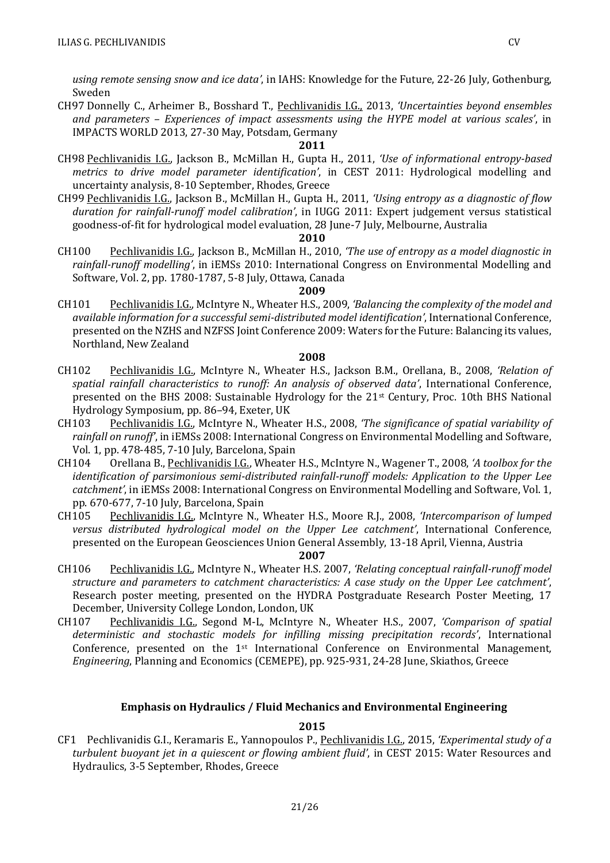*using remote sensing snow and ice data'*, in IAHS: Knowledge for the Future, 22-26 July, Gothenburg, Sweden

CH97 Donnelly C., Arheimer B., Bosshard T., Pechlivanidis I.G., 2013, *'Uncertainties beyond ensembles and parameters – Experiences of impact assessments using the HYPE model at various scales'*, in IMPACTS WORLD 2013, 27-30 May, Potsdam, Germany

#### **2011**

- CH98 Pechlivanidis I.G., Jackson B., McMillan H., Gupta H., 2011, *'Use of informational entropy-based metrics to drive model parameter identification'*, in CEST 2011: Hydrological modelling and uncertainty analysis, 8-10 September, Rhodes, Greece
- CH99 Pechlivanidis I.G., Jackson B., McMillan H., Gupta H., 2011, *'Using entropy as a diagnostic of flow duration for rainfall-runoff model calibration'*, in IUGG 2011: Expert judgement versus statistical goodness-of-fit for hydrological model evaluation, 28 June-7 July, Melbourne, Australia

#### **2010**

CH100 Pechlivanidis I.G., Jackson B., McMillan H., 2010, *'The use of entropy as a model diagnostic in rainfall-runoff modelling'*, in iEMSs 2010: International Congress on Environmental Modelling and Software, Vol. 2, pp. 1780-1787, 5-8 July, Ottawa, Canada

#### **2009**

CH101 Pechlivanidis I.G., McIntyre N., Wheater H.S., 2009, *'Balancing the complexity of the model and available information for a successful semi-distributed model identification'*, International Conference, presented on the NZHS and NZFSS Joint Conference 2009: Waters for the Future: Balancing its values, Northland, New Zealand

#### **2008**

- CH102 Pechlivanidis I.G., McIntyre N., Wheater H.S., Jackson B.M., Orellana, B., 2008, *'Relation of spatial rainfall characteristics to runoff: An analysis of observed data'*, International Conference, presented on the BHS 2008: Sustainable Hydrology for the 21st Century, Proc. 10th BHS National Hydrology Symposium, pp. 86–94, Exeter, UK
- CH103 Pechlivanidis I.G., McIntyre N., Wheater H.S., 2008, *'The significance of spatial variability of rainfall on runoff'*, in iEMSs 2008: International Congress on Environmental Modelling and Software, Vol. 1, pp. 478-485, 7-10 July, Barcelona, Spain
- CH104 Orellana B., Pechlivanidis I.G., Wheater H.S., McIntyre N., Wagener T., 2008, *'A toolbox for the identification of parsimonious semi-distributed rainfall-runoff models: Application to the Upper Lee catchment'*, in iEMSs 2008: International Congress on Environmental Modelling and Software, Vol. 1, pp. 670-677, 7-10 July, Barcelona, Spain
- CH105 Pechlivanidis I.G., McIntyre N., Wheater H.S., Moore R.J., 2008, *'Intercomparison of lumped versus distributed hydrological model on the Upper Lee catchment'*, International Conference, presented on the European Geosciences Union General Assembly, 13-18 April, Vienna, Austria

#### **2007**

- CH106 Pechlivanidis I.G., McIntyre N., Wheater H.S. 2007, *'Relating conceptual rainfall-runoff model structure and parameters to catchment characteristics: A case study on the Upper Lee catchment'*, Research poster meeting, presented on the HYDRA Postgraduate Research Poster Meeting, 17 December, University College London, London, UK
- CH107 Pechlivanidis I.G., Segond M-L, McIntyre N., Wheater H.S., 2007, *'Comparison of spatial deterministic and stochastic models for infilling missing precipitation records'*, International Conference, presented on the 1st International Conference on Environmental Management*, Engineering*, Planning and Economics (CEMEPE), pp. 925-931, 24-28 June, Skiathos, Greece

### **Emphasis on Hydraulics / Fluid Mechanics and Environmental Engineering**

#### **2015**

CF1 Pechlivanidis G.I., Keramaris E., Yannopoulos P., Pechlivanidis I.G., 2015, *'Experimental study of a turbulent buoyant jet in a quiescent or flowing ambient fluid'*, in CEST 2015: Water Resources and Hydraulics, 3-5 September, Rhodes, Greece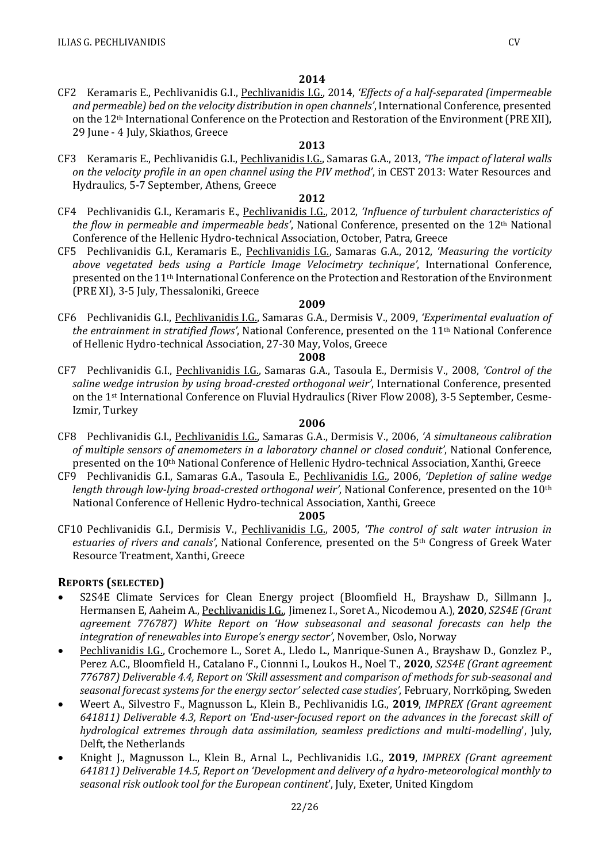CF2 Keramaris E., Pechlivanidis G.I., Pechlivanidis I.G., 2014, *'Effects of a half-separated (impermeable and permeable) bed on the velocity distribution in open channels'*, International Conference, presented on the 12<sup>th</sup> International Conference on the Protection and Restoration of the Environment (PRE XII), 29 June - 4 July, Skiathos, Greece

### **2013**

CF3 Keramaris E., Pechlivanidis G.I., Pechlivanidis I.G., Samaras G.A., 2013, *'The impact of lateral walls on the velocity profile in an open channel using the PIV method'*, in CEST 2013: Water Resources and Hydraulics, 5-7 September, Athens, Greece

### **2012**

- CF4 Pechlivanidis G.I., Keramaris E., Pechlivanidis I.G., 2012, *'Influence of turbulent characteristics of the flow in permeable and impermeable beds'*, National Conference, presented on the 12th National Conference of the Hellenic Hydro-technical Association, October, Patra, Greece
- CF5 Pechlivanidis G.I., Keramaris E., Pechlivanidis I.G., Samaras G.A., 2012, *'Measuring the vorticity above vegetated beds using a Particle Image Velocimetry technique'*, International Conference, presented on the 11th International Conference on the Protection and Restoration of the Environment (PRE XI), 3-5 July, Thessaloniki, Greece

### **2009**

CF6 Pechlivanidis G.I., Pechlivanidis I.G., Samaras G.A., Dermisis V., 2009, *'Experimental evaluation of the entrainment in stratified flows'*, National Conference, presented on the 11th National Conference of Hellenic Hydro-technical Association, 27-30 May, Volos, Greece

#### **2008**

CF7 Pechlivanidis G.I., Pechlivanidis I.G., Samaras G.A., Tasoula E., Dermisis V., 2008, *'Control of the saline wedge intrusion by using broad-crested orthogonal weir'*, International Conference, presented on the 1st International Conference on Fluvial Hydraulics (River Flow 2008), 3-5 September, Cesme-Izmir, Turkey

### **2006**

- CF8 Pechlivanidis G.I., Pechlivanidis I.G., Samaras G.A., Dermisis V., 2006, *'A simultaneous calibration of multiple sensors of anemometers in a laboratory channel or closed conduit'*, National Conference, presented on the 10th National Conference of Hellenic Hydro-technical Association, Xanthi, Greece
- CF9 Pechlivanidis G.I., Samaras G.A., Tasoula E., Pechlivanidis I.G., 2006, *'Depletion of saline wedge length through low-lying broad-crested orthogonal weir'*, National Conference, presented on the 10th National Conference of Hellenic Hydro-technical Association, Xanthi, Greece

### **2005**

CF10 Pechlivanidis G.I., Dermisis V., Pechlivanidis I.G., 2005, *'The control of salt water intrusion in estuaries of rivers and canals'*, National Conference, presented on the 5th Congress of Greek Water Resource Treatment, Xanthi, Greece

### **REPORTS (SELECTED)**

- S2S4E Climate Services for Clean Energy project (Bloomfield H., Brayshaw D., Sillmann J., Hermansen E, Aaheim A., Pechlivanidis I.G., Jimenez I., Soret A., Nicodemou A.), **2020**, *S2S4E (Grant agreement 776787) White Report on 'How subseasonal and seasonal forecasts can help the integration of renewables into Europe's energy sector'*, November, Oslo, Norway
- Pechlivanidis I.G., Crochemore L., Soret A., Lledo L., Manrique-Sunen A., Brayshaw D., Gonzlez P., Perez A.C., Bloomfield H., Catalano F., Cionnni I., Loukos H., Noel T., **2020**, *S2S4E (Grant agreement 776787) Deliverable 4.4, Report on 'Skill assessment and comparison of methods for sub-seasonal and seasonal forecast systems for the energy sector' selected case studies'*, February, Norrköping, Sweden
- Weert A., Silvestro F., Magnusson L., Klein B., Pechlivanidis I.G., **2019**, *IMPREX (Grant agreement 641811) Deliverable 4.3, Report on 'End-user-focused report on the advances in the forecast skill of hydrological extremes through data assimilation, seamless predictions and multi-modelling*', July, Delft, the Netherlands
- Knight J., Magnusson L., Klein B., Arnal L., Pechlivanidis I.G., **2019**, *IMPREX (Grant agreement 641811) Deliverable 14.5, Report on 'Development and delivery of a hydro-meteorological monthly to seasonal risk outlook tool for the European continent*', July, Exeter, United Kingdom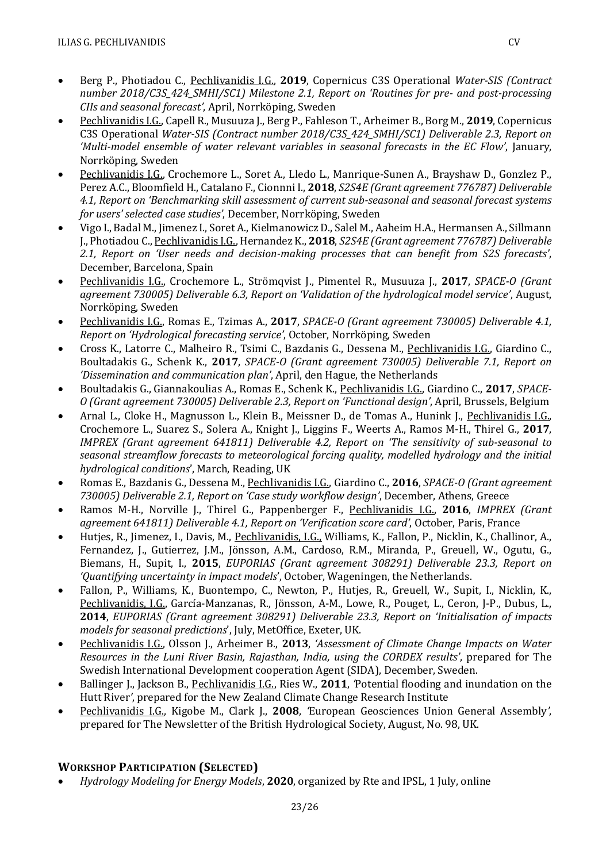- Berg P., Photiadou C., Pechlivanidis I.G., **2019**, Copernicus C3S Operational *Water-SIS (Contract number 2018/C3S\_424\_SMHI/SC1) Milestone 2.1, Report on 'Routines for pre- and post-processing CIIs and seasonal forecast'*, April, Norrköping, Sweden
- Pechlivanidis I.G., Capell R., Musuuza J., Berg P., Fahleson T., Arheimer B., Borg M., **2019**, Copernicus C3S Operational *Water-SIS (Contract number 2018/C3S\_424\_SMHI/SC1) Deliverable 2.3, Report on 'Multi-model ensemble of water relevant variables in seasonal forecasts in the EC Flow'*, January, Norrköping, Sweden
- Pechlivanidis I.G., Crochemore L., Soret A., Lledo L., Manrique-Sunen A., Brayshaw D., Gonzlez P., Perez A.C., Bloomfield H., Catalano F., Cionnni I., **2018**, *S2S4E (Grant agreement 776787) Deliverable 4.1, Report on 'Benchmarking skill assessment of current sub-seasonal and seasonal forecast systems for users' selected case studies'*, December, Norrköping, Sweden
- Vigo I., Badal M., Jimenez I., Soret A., Kielmanowicz D., Salel M., Aaheim H.A., Hermansen A., Sillmann J., Photiadou C., Pechlivanidis I.G., Hernandez K., **2018**, *S2S4E (Grant agreement 776787) Deliverable 2.1, Report on 'User needs and decision-making processes that can benefit from S2S forecasts'*, December, Barcelona, Spain
- Pechlivanidis I.G., Crochemore L., Strömqvist J., Pimentel R., Musuuza J., **2017**, *SPACE-O (Grant agreement 730005) Deliverable 6.3, Report on 'Validation of the hydrological model service'*, August, Norrköping, Sweden
- Pechlivanidis I.G., Romas E., Tzimas A., **2017**, *SPACE-O (Grant agreement 730005) Deliverable 4.1, Report on 'Hydrological forecasting service'*, October, Norrköping, Sweden
- Cross K., Latorre C., Malheiro R., Tsimi C., Bazdanis G., Dessena M., Pechlivanidis I.G., Giardino C., Boultadakis G., Schenk K., **2017**, *SPACE-O (Grant agreement 730005) Deliverable 7.1, Report on 'Dissemination and communication plan'*, April, den Hague, the Netherlands
- Boultadakis G., Giannakoulias A., Romas E., Schenk K., Pechlivanidis I.G., Giardino C., **2017**, *SPACE-O (Grant agreement 730005) Deliverable 2.3, Report on 'Functional design'*, April, Brussels, Belgium
- Arnal L., Cloke H., Magnusson L., Klein B., Meissner D., de Tomas A., Hunink J., Pechlivanidis I.G., Crochemore L., Suarez S., Solera A., Knight J., Liggins F., Weerts A., Ramos M-H., Thirel G., **2017**, *IMPREX (Grant agreement 641811) Deliverable 4.2, Report on 'The sensitivity of sub-seasonal to seasonal streamflow forecasts to meteorological forcing quality, modelled hydrology and the initial hydrological conditions*', March, Reading, UK
- Romas E., Bazdanis G., Dessena M., Pechlivanidis I.G., Giardino C., **2016**, *SPACE-O (Grant agreement 730005) Deliverable 2.1, Report on 'Case study workflow design'*, December, Athens, Greece
- Ramos M-H., Norville J., Thirel G., Pappenberger F., Pechlivanidis I.G., **2016**, *IMPREX (Grant agreement 641811) Deliverable 4.1, Report on 'Verification score card'*, October, Paris, France
- Hutjes, R., Jimenez, I., Davis, M., Pechlivanidis, I.G., Williams, K., Fallon, P., Nicklin, K., Challinor, A., Fernandez, J., Gutierrez, J.M., Jönsson, A.M., Cardoso, R.M., Miranda, P., Greuell, W., Ogutu, G., Biemans, H., Supit, I., **2015**, *EUPORIAS (Grant agreement 308291) Deliverable 23.3, Report on 'Quantifying uncertainty in impact models*', October, Wageningen, the Netherlands.
- Fallon, P., Williams, K., Buontempo, C., Newton, P., Hutjes, R., Greuell, W., Supit, I., Nicklin, K., Pechlivanidis, I.G., García-Manzanas, R., Jönsson, A-M., Lowe, R., Pouget, L., Ceron, J-P., Dubus, L., **2014**, *EUPORIAS (Grant agreement 308291) Deliverable 23.3, Report on 'Initialisation of impacts models for seasonal predictions*', July, MetOffice, Exeter, UK.
- Pechlivanidis I.G., Olsson J., Arheimer B., **2013**, *'Assessment of Climate Change Impacts on Water Resources in the Luni River Basin, Rajasthan, India, using the CORDEX results'*, prepared for The Swedish International Development cooperation Agent (SIDA), December, Sweden.
- Ballinger J., Jackson B., Pechlivanidis I.G., Ries W., **2011**, *'*Potential flooding and inundation on the Hutt River*'*, prepared for the New Zealand Climate Change Research Institute
- Pechlivanidis I.G., Kigobe M., Clark J., **2008**, *'*European Geosciences Union General Assembly*'*, prepared for The Newsletter of the British Hydrological Society, August, No. 98, UK.

# **WORKSHOP PARTICIPATION (SELECTED)**

• *Hydrology Modeling for Energy Models*, **2020**, organized by Rte and IPSL, 1 July, online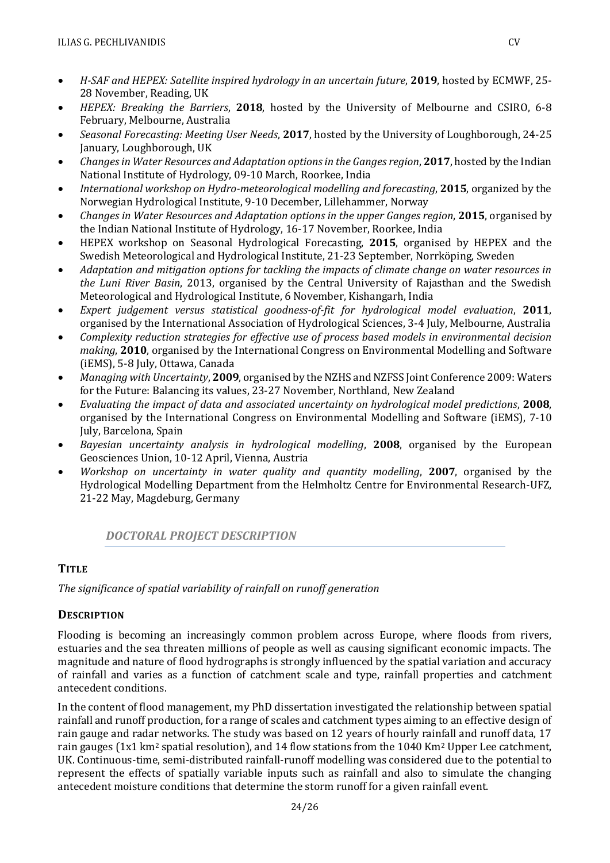- *H-SAF and HEPEX: Satellite inspired hydrology in an uncertain future*, **2019**, hosted by ECMWF, 25- 28 November, Reading, UK
- *HEPEX: Breaking the Barriers*, **2018**, hosted by the University of Melbourne and CSIRO, 6-8 February, Melbourne, Australia
- *Seasonal Forecasting: Meeting User Needs*, **2017**, hosted by the University of Loughborough, 24-25 January, Loughborough, UK
- *Changes in Water Resources and Adaptation options in the Ganges region, 2017, hosted by the Indian* National Institute of Hydrology, 09-10 March, Roorkee, India
- *International workshop on Hydro-meteorological modelling and forecasting*, **2015**, organized by the Norwegian Hydrological Institute, 9-10 December, Lillehammer, Norway
- *Changes in Water Resources and Adaptation options in the upper Ganges region*, **2015**, organised by the Indian National Institute of Hydrology, 16-17 November, Roorkee, India
- HEPEX workshop on Seasonal Hydrological Forecasting, **2015**, organised by HEPEX and the Swedish Meteorological and Hydrological Institute, 21-23 September, Norrköping, Sweden
- *Adaptation and mitigation options for tackling the impacts of climate change on water resources in the Luni River Basin*, 2013, organised by the Central University of Rajasthan and the Swedish Meteorological and Hydrological Institute, 6 November, Kishangarh, India
- *Expert judgement versus statistical goodness-of-fit for hydrological model evaluation*, **2011**, organised by the International Association of Hydrological Sciences, 3-4 July, Melbourne, Australia
- *Complexity reduction strategies for effective use of process based models in environmental decision making*, **2010**, organised by the International Congress on Environmental Modelling and Software (iEMS), 5-8 July, Ottawa, Canada
- *Managing with Uncertainty*, **2009**, organised by the NZHS and NZFSS Joint Conference 2009: Waters for the Future: Balancing its values, 23-27 November, Northland, New Zealand
- *Evaluating the impact of data and associated uncertainty on hydrological model predictions*, **2008**, organised by the International Congress on Environmental Modelling and Software (iEMS), 7-10 July, Barcelona, Spain
- *Bayesian uncertainty analysis in hydrological modelling*, **2008**, organised by the European Geosciences Union, 10-12 April, Vienna, Austria
- *Workshop on uncertainty in water quality and quantity modelling*, **2007**, organised by the Hydrological Modelling Department from the Helmholtz Centre for Environmental Research-UFZ, 21-22 May, Magdeburg, Germany

## *DOCTORAL PROJECT DESCRIPTION*

## **TITLE**

*The significance of spatial variability of rainfall on runoff generation*

## **DESCRIPTION**

Flooding is becoming an increasingly common problem across Europe, where floods from rivers, estuaries and the sea threaten millions of people as well as causing significant economic impacts. The magnitude and nature of flood hydrographs is strongly influenced by the spatial variation and accuracy of rainfall and varies as a function of catchment scale and type, rainfall properties and catchment antecedent conditions.

In the content of flood management, my PhD dissertation investigated the relationship between spatial rainfall and runoff production, for a range of scales and catchment types aiming to an effective design of rain gauge and radar networks. The study was based on 12 years of hourly rainfall and runoff data, 17 rain gauges (1x1 km<sup>2</sup> spatial resolution), and 14 flow stations from the 1040 Km<sup>2</sup> Upper Lee catchment, UK. Continuous-time, semi-distributed rainfall-runoff modelling was considered due to the potential to represent the effects of spatially variable inputs such as rainfall and also to simulate the changing antecedent moisture conditions that determine the storm runoff for a given rainfall event.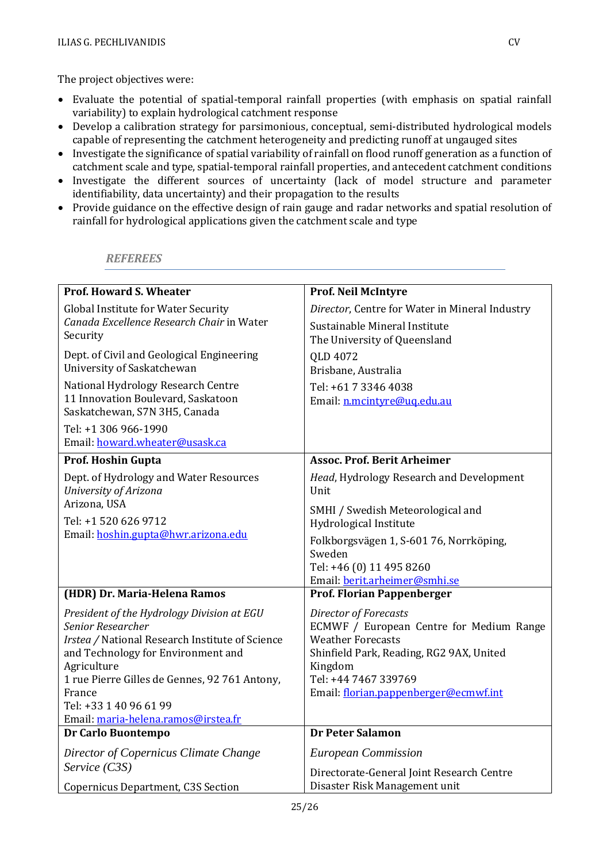The project objectives were:

- Evaluate the potential of spatial-temporal rainfall properties (with emphasis on spatial rainfall variability) to explain hydrological catchment response
- Develop a calibration strategy for parsimonious, conceptual, semi-distributed hydrological models capable of representing the catchment heterogeneity and predicting runoff at ungauged sites
- Investigate the significance of spatial variability of rainfall on flood runoff generation as a function of catchment scale and type, spatial-temporal rainfall properties, and antecedent catchment conditions
- Investigate the different sources of uncertainty (lack of model structure and parameter identifiability, data uncertainty) and their propagation to the results
- Provide guidance on the effective design of rain gauge and radar networks and spatial resolution of rainfall for hydrological applications given the catchment scale and type

### *REFEREES*

| <b>Prof. Howard S. Wheater</b>                    | Prof. Neil McIntyre                                 |
|---------------------------------------------------|-----------------------------------------------------|
| <b>Global Institute for Water Security</b>        | Director, Centre for Water in Mineral Industry      |
| Canada Excellence Research Chair in Water         | Sustainable Mineral Institute                       |
| Security                                          | The University of Queensland                        |
| Dept. of Civil and Geological Engineering         | QLD 4072                                            |
| University of Saskatchewan                        | Brisbane, Australia                                 |
| National Hydrology Research Centre                | Tel: +61 7 3346 4038                                |
| 11 Innovation Boulevard, Saskatoon                | Email: n.mcintyre@ug.edu.au                         |
| Saskatchewan, S7N 3H5, Canada                     |                                                     |
| Tel: +1 306 966-1990                              |                                                     |
| Email: howard.wheater@usask.ca                    |                                                     |
| Prof. Hoshin Gupta                                | <b>Assoc. Prof. Berit Arheimer</b>                  |
| Dept. of Hydrology and Water Resources            | Head, Hydrology Research and Development            |
| University of Arizona                             | Unit                                                |
| Arizona, USA                                      | SMHI / Swedish Meteorological and                   |
| Tel: +1 520 626 9712                              | Hydrological Institute                              |
| Email: hoshin.gupta@hwr.arizona.edu               | Folkborgsvägen 1, S-601 76, Norrköping,             |
|                                                   | Sweden                                              |
|                                                   | Tel: +46 (0) 11 495 8260                            |
|                                                   | Email: berit.arheimer@smhi.se                       |
| (HDR) Dr. Maria-Helena Ramos                      | Prof. Florian Pappenberger                          |
| President of the Hydrology Division at EGU        | Director of Forecasts                               |
| Senior Researcher                                 | ECMWF / European Centre for Medium Range            |
| Irstea / National Research Institute of Science   | <b>Weather Forecasts</b>                            |
| and Technology for Environment and<br>Agriculture | Shinfield Park, Reading, RG2 9AX, United<br>Kingdom |
| 1 rue Pierre Gilles de Gennes, 92 761 Antony,     | Tel: +44 7467 339769                                |
| France                                            | Email: florian.pappenberger@ecmwf.int               |
| Tel: +33 1 40 96 61 99                            |                                                     |
| Email: maria-helena.ramos@irstea.fr               |                                                     |
| Dr Carlo Buontempo                                | <b>Dr Peter Salamon</b>                             |
| Director of Copernicus Climate Change             | <b>European Commission</b>                          |
| Service (C3S)                                     | Directorate-General Joint Research Centre           |
| <b>Copernicus Department, C3S Section</b>         | Disaster Risk Management unit                       |